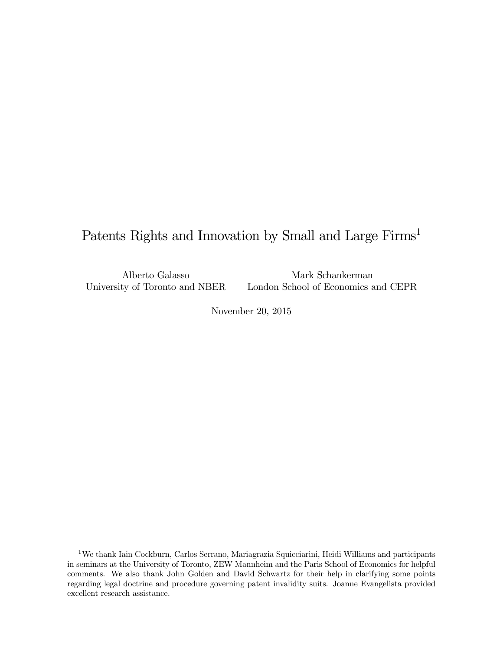# Patents Rights and Innovation by Small and Large Firms<sup>1</sup>

Alberto Galasso University of Toronto and NBER

Mark Schankerman London School of Economics and CEPR

November 20, 2015

<sup>1</sup>We thank Iain Cockburn, Carlos Serrano, Mariagrazia Squicciarini, Heidi Williams and participants in seminars at the University of Toronto, ZEW Mannheim and the Paris School of Economics for helpful comments. We also thank John Golden and David Schwartz for their help in clarifying some points regarding legal doctrine and procedure governing patent invalidity suits. Joanne Evangelista provided excellent research assistance.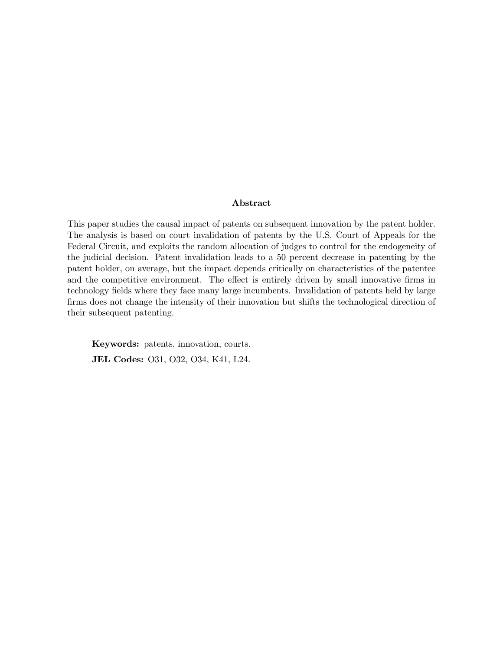#### Abstract

This paper studies the causal impact of patents on subsequent innovation by the patent holder. The analysis is based on court invalidation of patents by the U.S. Court of Appeals for the Federal Circuit, and exploits the random allocation of judges to control for the endogeneity of the judicial decision. Patent invalidation leads to a 50 percent decrease in patenting by the patent holder, on average, but the impact depends critically on characteristics of the patentee and the competitive environment. The effect is entirely driven by small innovative firms in technology fields where they face many large incumbents. Invalidation of patents held by large firms does not change the intensity of their innovation but shifts the technological direction of their subsequent patenting.

Keywords: patents, innovation, courts. JEL Codes: O31, O32, O34, K41, L24.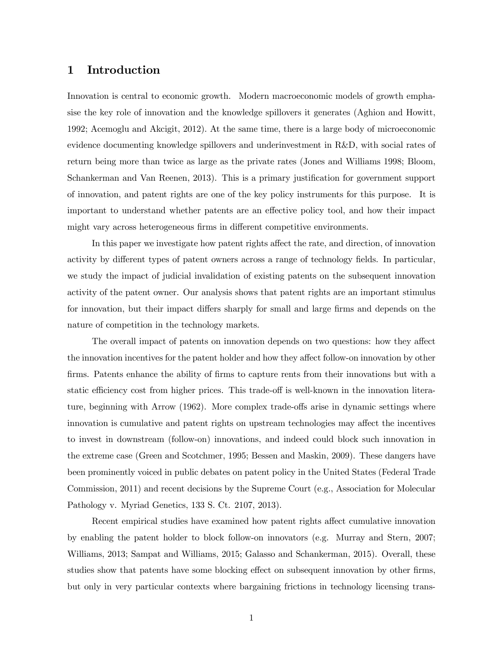## 1 Introduction

Innovation is central to economic growth. Modern macroeconomic models of growth emphasise the key role of innovation and the knowledge spillovers it generates (Aghion and Howitt, 1992; Acemoglu and Akcigit, 2012). At the same time, there is a large body of microeconomic evidence documenting knowledge spillovers and underinvestment in R&D, with social rates of return being more than twice as large as the private rates (Jones and Williams 1998; Bloom, Schankerman and Van Reenen, 2013). This is a primary justification for government support of innovation, and patent rights are one of the key policy instruments for this purpose. It is important to understand whether patents are an effective policy tool, and how their impact might vary across heterogeneous firms in different competitive environments.

In this paper we investigate how patent rights affect the rate, and direction, of innovation activity by different types of patent owners across a range of technology fields. In particular, we study the impact of judicial invalidation of existing patents on the subsequent innovation activity of the patent owner. Our analysis shows that patent rights are an important stimulus for innovation, but their impact differs sharply for small and large firms and depends on the nature of competition in the technology markets.

The overall impact of patents on innovation depends on two questions: how they affect the innovation incentives for the patent holder and how they affect follow-on innovation by other firms. Patents enhance the ability of firms to capture rents from their innovations but with a static efficiency cost from higher prices. This trade-off is well-known in the innovation literature, beginning with Arrow (1962). More complex trade-offs arise in dynamic settings where innovation is cumulative and patent rights on upstream technologies may affect the incentives to invest in downstream (follow-on) innovations, and indeed could block such innovation in the extreme case (Green and Scotchmer, 1995; Bessen and Maskin, 2009). These dangers have been prominently voiced in public debates on patent policy in the United States (Federal Trade Commission, 2011) and recent decisions by the Supreme Court (e.g., Association for Molecular Pathology v. Myriad Genetics, 133 S. Ct. 2107, 2013).

Recent empirical studies have examined how patent rights affect cumulative innovation by enabling the patent holder to block follow-on innovators (e.g. Murray and Stern, 2007; Williams, 2013; Sampat and Williams, 2015; Galasso and Schankerman, 2015). Overall, these studies show that patents have some blocking effect on subsequent innovation by other firms, but only in very particular contexts where bargaining frictions in technology licensing trans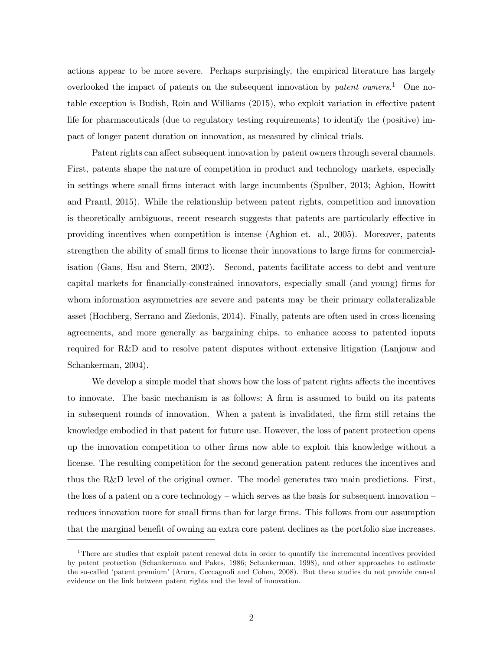actions appear to be more severe. Perhaps surprisingly, the empirical literature has largely overlooked the impact of patents on the subsequent innovation by patent owners.<sup>1</sup> One notable exception is Budish, Roin and Williams (2015), who exploit variation in effective patent life for pharmaceuticals (due to regulatory testing requirements) to identify the (positive) impact of longer patent duration on innovation, as measured by clinical trials.

Patent rights can affect subsequent innovation by patent owners through several channels. First, patents shape the nature of competition in product and technology markets, especially in settings where small firms interact with large incumbents (Spulber, 2013; Aghion, Howitt and Prantl, 2015). While the relationship between patent rights, competition and innovation is theoretically ambiguous, recent research suggests that patents are particularly effective in providing incentives when competition is intense (Aghion et. al., 2005). Moreover, patents strengthen the ability of small firms to license their innovations to large firms for commercialisation (Gans, Hsu and Stern, 2002). Second, patents facilitate access to debt and venture capital markets for financially-constrained innovators, especially small (and young) firms for whom information asymmetries are severe and patents may be their primary collateralizable asset (Hochberg, Serrano and Ziedonis, 2014). Finally, patents are often used in cross-licensing agreements, and more generally as bargaining chips, to enhance access to patented inputs required for R&D and to resolve patent disputes without extensive litigation (Lanjouw and Schankerman, 2004).

We develop a simple model that shows how the loss of patent rights affects the incentives to innovate. The basic mechanism is as follows: A firm is assumed to build on its patents in subsequent rounds of innovation. When a patent is invalidated, the firm still retains the knowledge embodied in that patent for future use. However, the loss of patent protection opens up the innovation competition to other firms now able to exploit this knowledge without a license. The resulting competition for the second generation patent reduces the incentives and thus the R&D level of the original owner. The model generates two main predictions. First, the loss of a patent on a core technology — which serves as the basis for subsequent innovation reduces innovation more for small firms than for large firms. This follows from our assumption that the marginal benefit of owning an extra core patent declines as the portfolio size increases.

<sup>1</sup>There are studies that exploit patent renewal data in order to quantify the incremental incentives provided by patent protection (Schankerman and Pakes, 1986; Schankerman, 1998), and other approaches to estimate the so-called 'patent premium' (Arora, Ceccagnoli and Cohen, 2008). But these studies do not provide causal evidence on the link between patent rights and the level of innovation.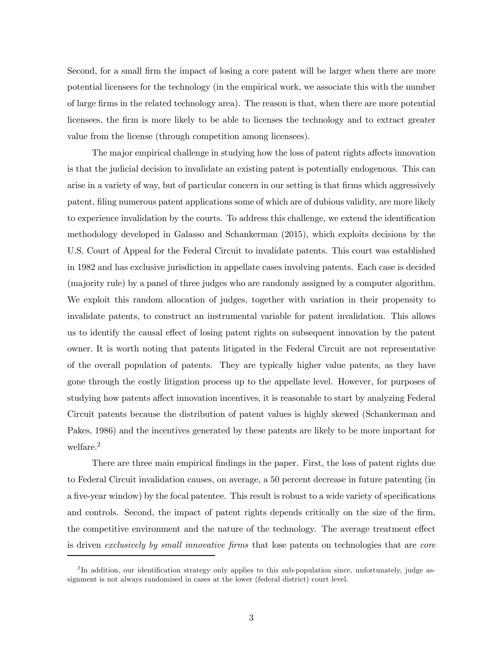Second, for a small firm the impact of losing a core patent will be larger when there are more potential licensees for the technology (in the empirical work, we associate this with the number of large firms in the related technology area). The reason is that, when there are more potential licensees, the firm is more likely to be able to licenses the technology and to extract greater value from the license (through competition among licensees).

The major empirical challenge in studying how the loss of patent rights affects innovation is that the judicial decision to invalidate an existing patent is potentially endogenous. This can arise in a variety of way, but of particular concern in our setting is that firms which aggressively patent, filing numerous patent applications some of which are of dubious validity, are more likely to experience invalidation by the courts. To address this challenge, we extend the identification methodology developed in Galasso and Schankerman (2015), which exploits decisions by the U.S. Court of Appeal for the Federal Circuit to invalidate patents. This court was established in 1982 and has exclusive jurisdiction in appellate cases involving patents. Each case is decided (majority rule) by a panel of three judges who are randomly assigned by a computer algorithm. We exploit this random allocation of judges, together with variation in their propensity to invalidate patents, to construct an instrumental variable for patent invalidation. This allows us to identify the causal effect of losing patent rights on subsequent innovation by the patent owner. It is worth noting that patents litigated in the Federal Circuit are not representative of the overall population of patents. They are typically higher value patents, as they have gone through the costly litigation process up to the appellate level. However, for purposes of studying how patents affect innovation incentives, it is reasonable to start by analyzing Federal Circuit patents because the distribution of patent values is highly skewed (Schankerman and Pakes, 1986) and the incentives generated by these patents are likely to be more important for welfare.<sup>2</sup>

There are three main empirical findings in the paper. First, the loss of patent rights due to Federal Circuit invalidation causes, on average, a 50 percent decrease in future patenting (in a five-year window) by the focal patentee. This result is robust to a wide variety of specifications and controls. Second, the impact of patent rights depends critically on the size of the firm, the competitive environment and the nature of the technology. The average treatment effect is driven exclusively by small innovative firms that lose patents on technologies that are core

<sup>&</sup>lt;sup>2</sup>In addition, our identification strategy only applies to this sub-population since, unfortunately, judge assignment is not always randomised in cases at the lower (federal district) court level.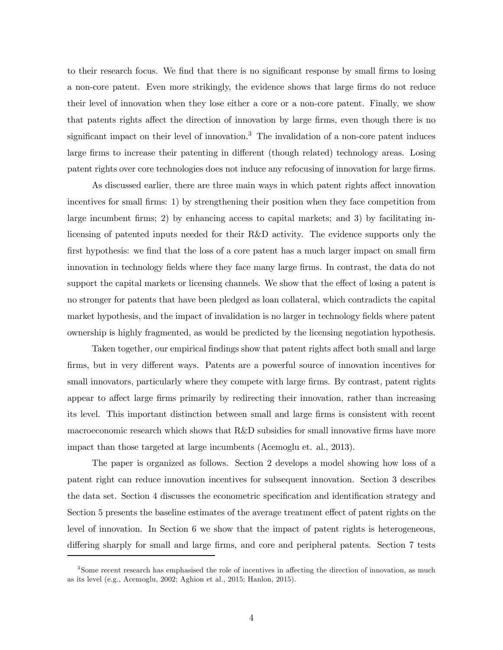to their research focus. We find that there is no significant response by small firms to losing a non-core patent. Even more strikingly, the evidence shows that large firms do not reduce their level of innovation when they lose either a core or a non-core patent. Finally, we show that patents rights affect the direction of innovation by large firms, even though there is no significant impact on their level of innovation.<sup>3</sup> The invalidation of a non-core patent induces large firms to increase their patenting in different (though related) technology areas. Losing patent rights over core technologies does not induce any refocusing of innovation for large firms.

As discussed earlier, there are three main ways in which patent rights affect innovation incentives for small firms: 1) by strengthening their position when they face competition from large incumbent firms; 2) by enhancing access to capital markets; and 3) by facilitating inlicensing of patented inputs needed for their R&D activity. The evidence supports only the first hypothesis: we find that the loss of a core patent has a much larger impact on small firm innovation in technology fields where they face many large firms. In contrast, the data do not support the capital markets or licensing channels. We show that the effect of losing a patent is no stronger for patents that have been pledged as loan collateral, which contradicts the capital market hypothesis, and the impact of invalidation is no larger in technology fields where patent ownership is highly fragmented, as would be predicted by the licensing negotiation hypothesis.

Taken together, our empirical findings show that patent rights affect both small and large firms, but in very different ways. Patents are a powerful source of innovation incentives for small innovators, particularly where they compete with large firms. By contrast, patent rights appear to affect large firms primarily by redirecting their innovation, rather than increasing its level. This important distinction between small and large firms is consistent with recent macroeconomic research which shows that R&D subsidies for small innovative firms have more impact than those targeted at large incumbents (Acemoglu et. al., 2013).

The paper is organized as follows. Section 2 develops a model showing how loss of a patent right can reduce innovation incentives for subsequent innovation. Section 3 describes the data set. Section 4 discusses the econometric specification and identification strategy and Section 5 presents the baseline estimates of the average treatment effect of patent rights on the level of innovation. In Section 6 we show that the impact of patent rights is heterogeneous, differing sharply for small and large firms, and core and peripheral patents. Section 7 tests

<sup>&</sup>lt;sup>3</sup>Some recent research has emphasised the role of incentives in affecting the direction of innovation, as much as its level (e.g., Acemoglu, 2002; Aghion et al., 2015; Hanlon, 2015).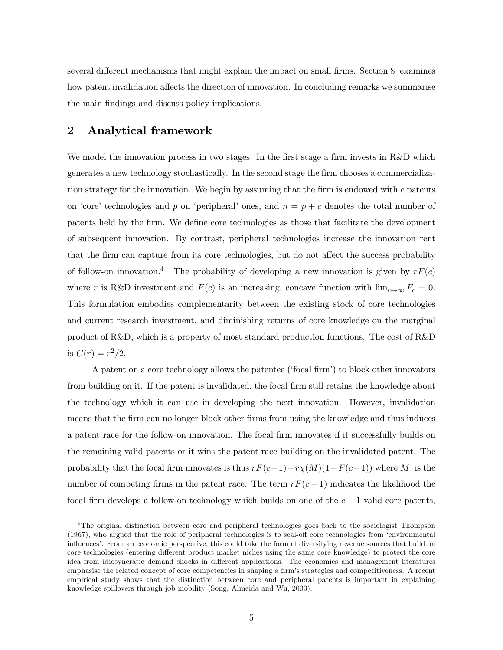several different mechanisms that might explain the impact on small firms. Section 8 examines how patent invalidation affects the direction of innovation. In concluding remarks we summarise the main findings and discuss policy implications.

## 2 Analytical framework

We model the innovation process in two stages. In the first stage a firm invests in R&D which generates a new technology stochastically. In the second stage the firm chooses a commercialization strategy for the innovation. We begin by assuming that the firm is endowed with  $c$  patents on 'core' technologies and p on 'peripheral' ones, and  $n = p + c$  denotes the total number of patents held by the firm. We define core technologies as those that facilitate the development of subsequent innovation. By contrast, peripheral technologies increase the innovation rent that the firm can capture from its core technologies, but do not affect the success probability of follow-on innovation.<sup>4</sup> The probability of developing a new innovation is given by  $rF(c)$ where r is R&D investment and  $F(c)$  is an increasing, concave function with  $\lim_{c\to\infty} F_c = 0$ . This formulation embodies complementarity between the existing stock of core technologies and current research investment, and diminishing returns of core knowledge on the marginal product of R&D, which is a property of most standard production functions. The cost of R&D is  $C(r) = r^2/2$ .

A patent on a core technology allows the patentee ('focal firm') to block other innovators from building on it. If the patent is invalidated, the focal firm still retains the knowledge about the technology which it can use in developing the next innovation. However, invalidation means that the firm can no longer block other firms from using the knowledge and thus induces a patent race for the follow-on innovation. The focal firm innovates if it successfully builds on the remaining valid patents or it wins the patent race building on the invalidated patent. The probability that the focal firm innovates is thus  $rF(c-1)+r\chi(M)(1-F(c-1))$  where M is the number of competing firms in the patent race. The term  $rF(c-1)$  indicates the likelihood the focal firm develops a follow-on technology which builds on one of the  $c - 1$  valid core patents,

<sup>4</sup>The original distinction between core and peripheral technologies goes back to the sociologist Thompson (1967), who argued that the role of peripheral technologies is to seal-off core technologies from 'environmental influences'. From an economic perspective, this could take the form of diversifying revenue sources that build on core technologies (entering different product market niches using the same core knowledge) to protect the core idea from idiosyncratic demand shocks in different applications. The economics and management literatures emphasise the related concept of core competencies in shaping a firm's strategies and competitiveness. A recent empirical study shows that the distinction between core and peripheral patents is important in explaining knowledge spillovers through job mobility (Song, Almeida and Wu, 2003).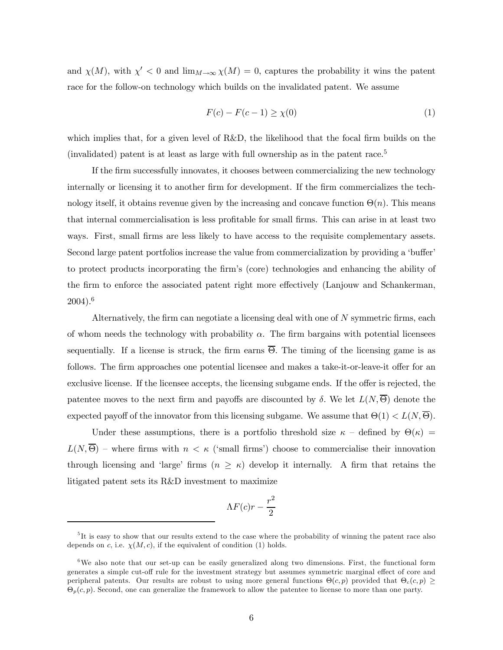and  $\chi(M)$ , with  $\chi' < 0$  and  $\lim_{M \to \infty} \chi(M) = 0$ , captures the probability it wins the patent race for the follow-on technology which builds on the invalidated patent. We assume

$$
F(c) - F(c - 1) \ge \chi(0) \tag{1}
$$

which implies that, for a given level of R&D, the likelihood that the focal firm builds on the (invalidated) patent is at least as large with full ownership as in the patent race.<sup>5</sup>

If the firm successfully innovates, it chooses between commercializing the new technology internally or licensing it to another firm for development. If the firm commercializes the technology itself, it obtains revenue given by the increasing and concave function  $\Theta(n)$ . This means that internal commercialisation is less profitable for small firms. This can arise in at least two ways. First, small firms are less likely to have access to the requisite complementary assets. Second large patent portfolios increase the value from commercialization by providing a 'buffer' to protect products incorporating the firm's (core) technologies and enhancing the ability of the firm to enforce the associated patent right more effectively (Lanjouw and Schankerman, 2004).<sup>6</sup>

Alternatively, the firm can negotiate a licensing deal with one of N symmetric firms, each of whom needs the technology with probability  $\alpha$ . The firm bargains with potential licensees sequentially. If a license is struck, the firm earns  $\overline{\Theta}$ . The timing of the licensing game is as follows. The firm approaches one potential licensee and makes a take-it-or-leave-it offer for an exclusive license. If the licensee accepts, the licensing subgame ends. If the offer is rejected, the patentee moves to the next firm and payoffs are discounted by  $\delta$ . We let  $L(N, \overline{\Theta})$  denote the expected payoff of the innovator from this licensing subgame. We assume that  $\Theta(1) < L(N, \overline{\Theta})$ .

Under these assumptions, there is a portfolio threshold size  $\kappa$  – defined by  $\Theta(\kappa)$  =  $L(N, \overline{\Theta})$  – where firms with  $n < \kappa$  ('small firms') choose to commercialise their innovation through licensing and 'large' firms  $(n \geq \kappa)$  develop it internally. A firm that retains the litigated patent sets its R&D investment to maximize

$$
\Lambda F(c)r - \frac{r^2}{2}
$$

<sup>&</sup>lt;sup>5</sup>It is easy to show that our results extend to the case where the probability of winning the patent race also depends on c, i.e.  $\chi(M, c)$ , if the equivalent of condition (1) holds.

 $6$ We also note that our set-up can be easily generalized along two dimensions. First, the functional form generates a simple cut-off rule for the investment strategy but assumes symmetric marginal effect of core and peripheral patents. Our results are robust to using more general functions  $\Theta(c, p)$  provided that  $\Theta_c(c, p)$  >  $\Theta_p(c, p)$ . Second, one can generalize the framework to allow the patentee to license to more than one party.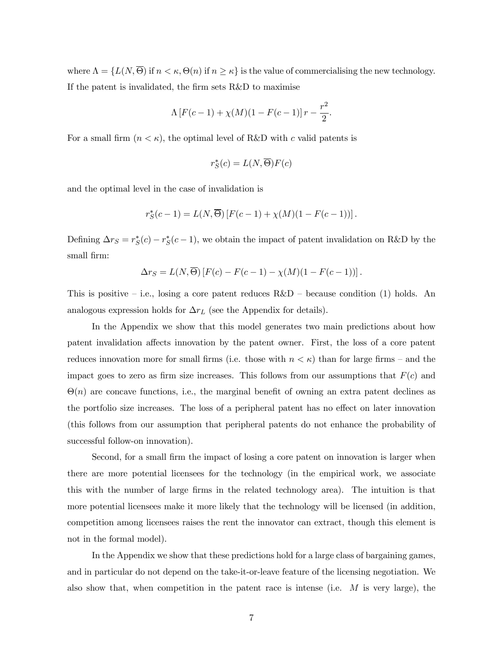where  $\Lambda = \{L(N, \overline{\Theta}) \text{ if } n < \kappa, \Theta(n) \text{ if } n \geq \kappa\}$  is the value of commercialising the new technology. If the patent is invalidated, the firm sets R&D to maximise

$$
\Lambda \left[ F(c-1) + \chi(M)(1 - F(c-1)) \right] r - \frac{r^2}{2}.
$$

For a small firm  $(n < \kappa)$ , the optimal level of R&D with c valid patents is

$$
r_S^*(c)=L(N,\overline{\Theta})F(c)
$$

and the optimal level in the case of invalidation is

$$
r_S^*(c-1) = L(N, \overline{\Theta}) [F(c-1) + \chi(M)(1 - F(c-1))].
$$

Defining  $\Delta r_S = r_S^*$  ${}_{S}^{*}(c) - r_{S}^{*}$  $\zeta(s(c-1))$ , we obtain the impact of patent invalidation on R&D by the small firm:

$$
\Delta r_S = L(N, \overline{\Theta}) \left[ F(c) - F(c-1) - \chi(M)(1 - F(c-1)) \right].
$$

This is positive – i.e., losing a core patent reduces  $R&D$  – because condition (1) holds. An analogous expression holds for  $\Delta r_L$  (see the Appendix for details).

In the Appendix we show that this model generates two main predictions about how patent invalidation affects innovation by the patent owner. First, the loss of a core patent reduces innovation more for small firms (i.e. those with  $n < \kappa$ ) than for large firms – and the impact goes to zero as firm size increases. This follows from our assumptions that  $F(c)$  and  $\Theta(n)$  are concave functions, i.e., the marginal benefit of owning an extra patent declines as the portfolio size increases. The loss of a peripheral patent has no effect on later innovation (this follows from our assumption that peripheral patents do not enhance the probability of successful follow-on innovation).

Second, for a small firm the impact of losing a core patent on innovation is larger when there are more potential licensees for the technology (in the empirical work, we associate this with the number of large firms in the related technology area). The intuition is that more potential licensees make it more likely that the technology will be licensed (in addition, competition among licensees raises the rent the innovator can extract, though this element is not in the formal model).

In the Appendix we show that these predictions hold for a large class of bargaining games, and in particular do not depend on the take-it-or-leave feature of the licensing negotiation. We also show that, when competition in the patent race is intense (i.e.  $M$  is very large), the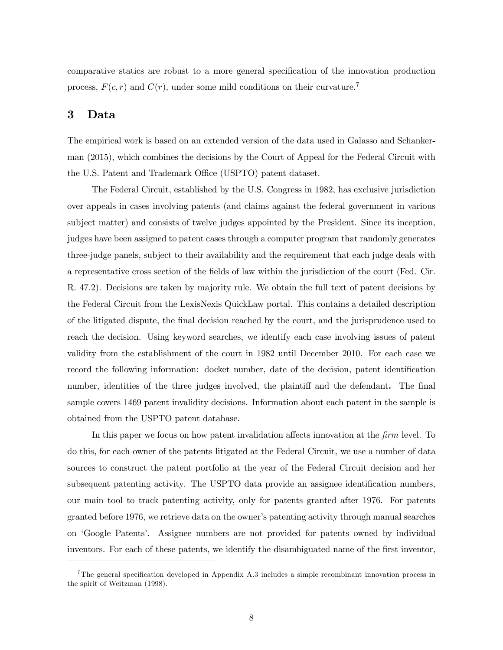comparative statics are robust to a more general specification of the innovation production process,  $F(c, r)$  and  $C(r)$ , under some mild conditions on their curvature.<sup>7</sup>

## 3 Data

The empirical work is based on an extended version of the data used in Galasso and Schankerman (2015), which combines the decisions by the Court of Appeal for the Federal Circuit with the U.S. Patent and Trademark Office (USPTO) patent dataset.

The Federal Circuit, established by the U.S. Congress in 1982, has exclusive jurisdiction over appeals in cases involving patents (and claims against the federal government in various subject matter) and consists of twelve judges appointed by the President. Since its inception, judges have been assigned to patent cases through a computer program that randomly generates three-judge panels, subject to their availability and the requirement that each judge deals with a representative cross section of the fields of law within the jurisdiction of the court (Fed. Cir. R. 47.2). Decisions are taken by majority rule. We obtain the full text of patent decisions by the Federal Circuit from the LexisNexis QuickLaw portal. This contains a detailed description of the litigated dispute, the final decision reached by the court, and the jurisprudence used to reach the decision. Using keyword searches, we identify each case involving issues of patent validity from the establishment of the court in 1982 until December 2010. For each case we record the following information: docket number, date of the decision, patent identification number, identities of the three judges involved, the plaintiff and the defendant. The final sample covers 1469 patent invalidity decisions. Information about each patent in the sample is obtained from the USPTO patent database.

In this paper we focus on how patent invalidation affects innovation at the *firm* level. To do this, for each owner of the patents litigated at the Federal Circuit, we use a number of data sources to construct the patent portfolio at the year of the Federal Circuit decision and her subsequent patenting activity. The USPTO data provide an assignee identification numbers, our main tool to track patenting activity, only for patents granted after 1976. For patents granted before 1976, we retrieve data on the owner's patenting activity through manual searches on 'Google Patents'. Assignee numbers are not provided for patents owned by individual inventors. For each of these patents, we identify the disambiguated name of the first inventor,

<sup>7</sup>The general specification developed in Appendix A.3 includes a simple recombinant innovation process in the spirit of Weitzman (1998).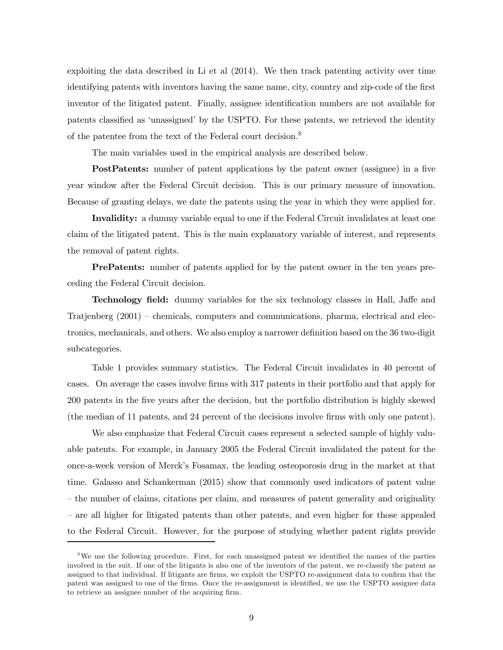exploiting the data described in Li et al (2014). We then track patenting activity over time identifying patents with inventors having the same name, city, country and zip-code of the first inventor of the litigated patent. Finally, assignee identification numbers are not available for patents classified as 'unassigned' by the USPTO. For these patents, we retrieved the identity of the patentee from the text of the Federal court decision.<sup>8</sup>

The main variables used in the empirical analysis are described below.

PostPatents: number of patent applications by the patent owner (assignee) in a five year window after the Federal Circuit decision. This is our primary measure of innovation. Because of granting delays, we date the patents using the year in which they were applied for.

Invalidity: a dummy variable equal to one if the Federal Circuit invalidates at least one claim of the litigated patent. This is the main explanatory variable of interest, and represents the removal of patent rights.

**PrePatents:** number of patents applied for by the patent owner in the ten years preceding the Federal Circuit decision.

Technology field: dummy variables for the six technology classes in Hall, Jaffe and Tratjenberg (2001) — chemicals, computers and communications, pharma, electrical and electronics, mechanicals, and others. We also employ a narrower definition based on the 36 two-digit subcategories.

Table 1 provides summary statistics. The Federal Circuit invalidates in 40 percent of cases. On average the cases involve firms with 317 patents in their portfolio and that apply for 200 patents in the five years after the decision, but the portfolio distribution is highly skewed (the median of 11 patents, and 24 percent of the decisions involve firms with only one patent).

We also emphasize that Federal Circuit cases represent a selected sample of highly valuable patents. For example, in January 2005 the Federal Circuit invalidated the patent for the once-a-week version of Merck's Fosamax, the leading osteoporosis drug in the market at that time. Galasso and Schankerman (2015) show that commonly used indicators of patent value — the number of claims, citations per claim, and measures of patent generality and originality — are all higher for litigated patents than other patents, and even higher for those appealed to the Federal Circuit. However, for the purpose of studying whether patent rights provide

<sup>&</sup>lt;sup>8</sup>We use the following procedure. First, for each unassigned patent we identified the names of the parties involved in the suit. If one of the litigants is also one of the inventors of the patent, we re-classify the patent as assigned to that individual. If litigants are firms, we exploit the USPTO re-assignment data to confirm that the patent was assigned to one of the firms. Once the re-assignment is identified, we use the USPTO assignee data to retrieve an assignee number of the acquiring firm.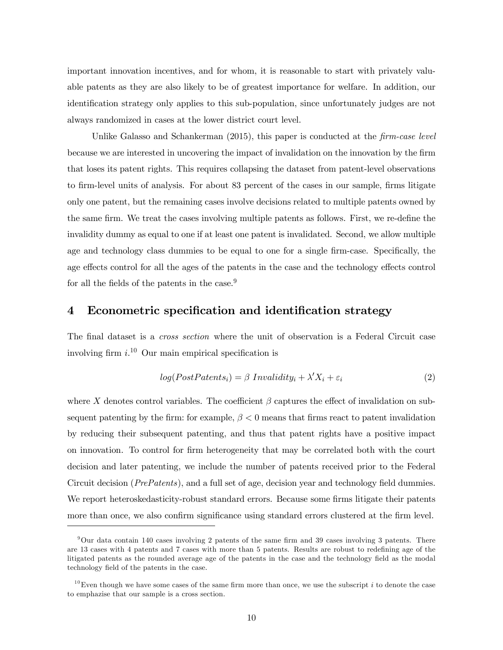important innovation incentives, and for whom, it is reasonable to start with privately valuable patents as they are also likely to be of greatest importance for welfare. In addition, our identification strategy only applies to this sub-population, since unfortunately judges are not always randomized in cases at the lower district court level.

Unlike Galasso and Schankerman (2015), this paper is conducted at the *firm-case level* because we are interested in uncovering the impact of invalidation on the innovation by the firm that loses its patent rights. This requires collapsing the dataset from patent-level observations to firm-level units of analysis. For about 83 percent of the cases in our sample, firms litigate only one patent, but the remaining cases involve decisions related to multiple patents owned by the same firm. We treat the cases involving multiple patents as follows. First, we re-define the invalidity dummy as equal to one if at least one patent is invalidated. Second, we allow multiple age and technology class dummies to be equal to one for a single firm-case. Specifically, the age effects control for all the ages of the patents in the case and the technology effects control for all the fields of the patents in the case. $9$ 

## 4 Econometric specification and identification strategy

The final dataset is a cross section where the unit of observation is a Federal Circuit case involving firm  $i^{10}$  Our main empirical specification is

$$
log(PostPatentsi) = \beta \text{ \ } Invalidity_i + \lambda' X_i + \varepsilon_i \tag{2}
$$

where X denotes control variables. The coefficient  $\beta$  captures the effect of invalidation on subsequent patenting by the firm: for example,  $\beta < 0$  means that firms react to patent invalidation by reducing their subsequent patenting, and thus that patent rights have a positive impact on innovation. To control for firm heterogeneity that may be correlated both with the court decision and later patenting, we include the number of patents received prior to the Federal Circuit decision (PrePatents), and a full set of age, decision year and technology field dummies. We report heteroskedasticity-robust standard errors. Because some firms litigate their patents more than once, we also confirm significance using standard errors clustered at the firm level.

 $9$ Our data contain 140 cases involving 2 patents of the same firm and 39 cases involving 3 patents. There are 13 cases with 4 patents and 7 cases with more than 5 patents. Results are robust to redefining age of the litigated patents as the rounded average age of the patents in the case and the technology field as the modal technology field of the patents in the case.

 $10$ Even though we have some cases of the same firm more than once, we use the subscript i to denote the case to emphazise that our sample is a cross section.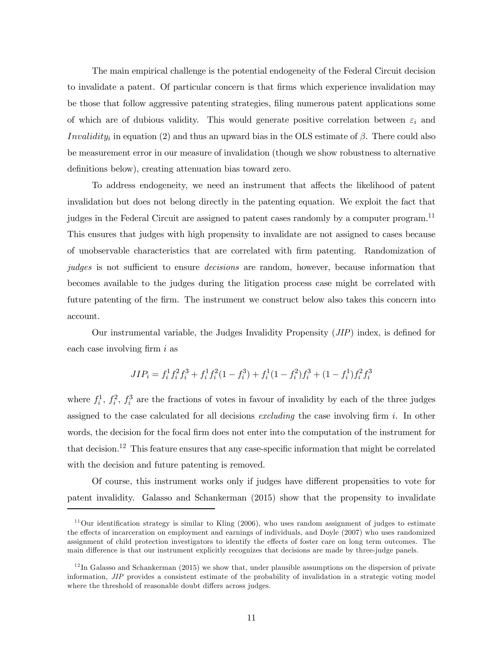The main empirical challenge is the potential endogeneity of the Federal Circuit decision to invalidate a patent. Of particular concern is that firms which experience invalidation may be those that follow aggressive patenting strategies, filing numerous patent applications some of which are of dubious validity. This would generate positive correlation between  $\varepsilon_i$  and *Invalidity<sub>i</sub>* in equation (2) and thus an upward bias in the OLS estimate of  $\beta$ . There could also be measurement error in our measure of invalidation (though we show robustness to alternative definitions below), creating attenuation bias toward zero.

To address endogeneity, we need an instrument that affects the likelihood of patent invalidation but does not belong directly in the patenting equation. We exploit the fact that judges in the Federal Circuit are assigned to patent cases randomly by a computer program.<sup>11</sup> This ensures that judges with high propensity to invalidate are not assigned to cases because of unobservable characteristics that are correlated with firm patenting. Randomization of judges is not sufficient to ensure *decisions* are random, however, because information that becomes available to the judges during the litigation process case might be correlated with future patenting of the firm. The instrument we construct below also takes this concern into account.

Our instrumental variable, the Judges Invalidity Propensity (JIP) index, is defined for each case involving firm i as

$$
JIP_i = f_i^1 f_i^2 f_i^3 + f_i^1 f_i^2 (1 - f_i^3) + f_i^1 (1 - f_i^2) f_i^3 + (1 - f_i^1) f_i^2 f_i^3
$$

where  $f_i^1, f_i^2, f_i^3$  are the fractions of votes in favour of invalidity by each of the three judges assigned to the case calculated for all decisions *excluding* the case involving firm i. In other words, the decision for the focal firm does not enter into the computation of the instrument for that decision.<sup>12</sup> This feature ensures that any case-specific information that might be correlated with the decision and future patenting is removed.

Of course, this instrument works only if judges have different propensities to vote for patent invalidity. Galasso and Schankerman (2015) show that the propensity to invalidate

<sup>&</sup>lt;sup>11</sup>Our identification strategy is similar to Kling  $(2006)$ , who uses random assignment of judges to estimate the effects of incarceration on employment and earnings of individuals, and Doyle (2007) who uses randomized assignment of child protection investigators to identify the effects of foster care on long term outcomes. The main difference is that our instrument explicitly recognizes that decisions are made by three-judge panels.

 $12$ In Galasso and Schankerman (2015) we show that, under plausible assumptions on the dispersion of private information, JIP provides a consistent estimate of the probability of invalidation in a strategic voting model where the threshold of reasonable doubt differs across judges.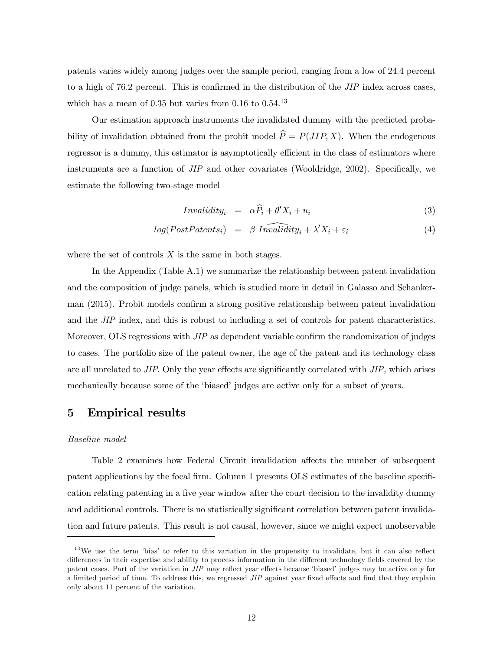patents varies widely among judges over the sample period, ranging from a low of 24.4 percent to a high of 76.2 percent. This is confirmed in the distribution of the JIP index across cases, which has a mean of 0.35 but varies from  $0.16$  to  $0.54^{13}$ 

Our estimation approach instruments the invalidated dummy with the predicted probability of invalidation obtained from the probit model  $\hat{P} = P(JIP, X)$ . When the endogenous regressor is a dummy, this estimator is asymptotically efficient in the class of estimators where instruments are a function of JIP and other covariates (Wooldridge, 2002). Specifically, we estimate the following two-stage model

$$
Invalidity_i = \alpha \widehat{P}_i + \theta' X_i + u_i \tag{3}
$$

$$
log(PostPatents_i) = \beta \widehat{Invalidity}_i + \lambda' X_i + \varepsilon_i \tag{4}
$$

where the set of controls  $X$  is the same in both stages.

In the Appendix (Table A.1) we summarize the relationship between patent invalidation and the composition of judge panels, which is studied more in detail in Galasso and Schankerman (2015). Probit models confirm a strong positive relationship between patent invalidation and the JIP index, and this is robust to including a set of controls for patent characteristics. Moreover, OLS regressions with JIP as dependent variable confirm the randomization of judges to cases. The portfolio size of the patent owner, the age of the patent and its technology class are all unrelated to JIP. Only the year effects are significantly correlated with JIP, which arises mechanically because some of the 'biased' judges are active only for a subset of years.

## 5 Empirical results

#### Baseline model

Table 2 examines how Federal Circuit invalidation affects the number of subsequent patent applications by the focal firm. Column 1 presents OLS estimates of the baseline specification relating patenting in a five year window after the court decision to the invalidity dummy and additional controls. There is no statistically significant correlation between patent invalidation and future patents. This result is not causal, however, since we might expect unobservable

<sup>&</sup>lt;sup>13</sup>We use the term 'bias' to refer to this variation in the propensity to invalidate, but it can also reflect differences in their expertise and ability to process information in the different technology fields covered by the patent cases. Part of the variation in JIP may reflect year effects because 'biased' judges may be active only for a limited period of time. To address this, we regressed JIP against year fixed effects and find that they explain only about 11 percent of the variation.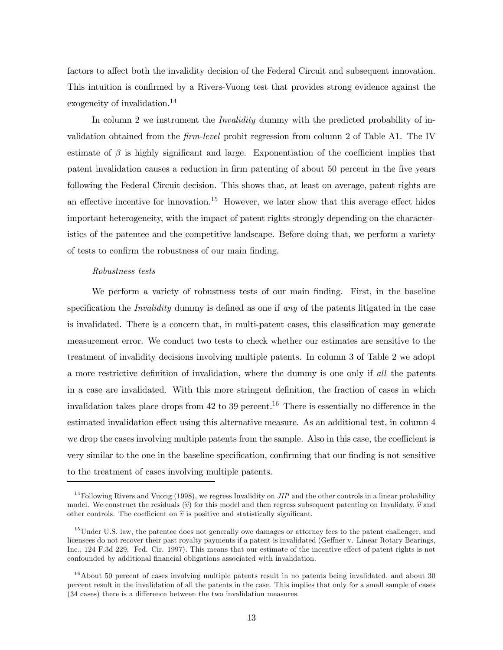factors to affect both the invalidity decision of the Federal Circuit and subsequent innovation. This intuition is confirmed by a Rivers-Vuong test that provides strong evidence against the exogeneity of invalidation.<sup>14</sup>

In column 2 we instrument the *Invalidity* dummy with the predicted probability of invalidation obtained from the firm-level probit regression from column 2 of Table A1. The IV estimate of  $\beta$  is highly significant and large. Exponentiation of the coefficient implies that patent invalidation causes a reduction in firm patenting of about 50 percent in the five years following the Federal Circuit decision. This shows that, at least on average, patent rights are an effective incentive for innovation.<sup>15</sup> However, we later show that this average effect hides important heterogeneity, with the impact of patent rights strongly depending on the characteristics of the patentee and the competitive landscape. Before doing that, we perform a variety of tests to confirm the robustness of our main finding.

#### Robustness tests

We perform a variety of robustness tests of our main finding. First, in the baseline specification the *Invalidity* dummy is defined as one if any of the patents litigated in the case is invalidated. There is a concern that, in multi-patent cases, this classification may generate measurement error. We conduct two tests to check whether our estimates are sensitive to the treatment of invalidity decisions involving multiple patents. In column 3 of Table 2 we adopt a more restrictive definition of invalidation, where the dummy is one only if all the patents in a case are invalidated. With this more stringent definition, the fraction of cases in which invalidation takes place drops from  $42$  to  $39$  percent.<sup>16</sup> There is essentially no difference in the estimated invalidation effect using this alternative measure. As an additional test, in column 4 we drop the cases involving multiple patents from the sample. Also in this case, the coefficient is very similar to the one in the baseline specification, confirming that our finding is not sensitive to the treatment of cases involving multiple patents.

 $14$ Following Rivers and Vuong (1998), we regress Invalidity on *JIP* and the other controls in a linear probability model. We construct the residuals  $(\hat{v})$  for this model and then regress subsequent patenting on Invalidaty,  $\hat{v}$  and other controls. The coefficient on  $\hat{v}$  is positive and statistically significant.

 $15$ Under U.S. law, the patentee does not generally owe damages or attorney fees to the patent challenger, and licensees do not recover their past royalty payments if a patent is invalidated (Geffner v. Linear Rotary Bearings, Inc., 124 F.3d 229, Fed. Cir. 1997). This means that our estimate of the incentive effect of patent rights is not confounded by additional financial obligations associated with invalidation.

 $16$ About 50 percent of cases involving multiple patents result in no patents being invalidated, and about 30 percent result in the invalidation of all the patents in the case. This implies that only for a small sample of cases (34 cases) there is a difference between the two invalidation measures.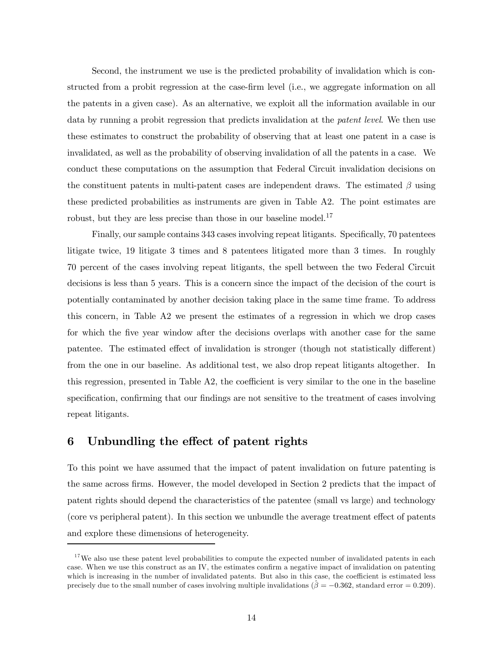Second, the instrument we use is the predicted probability of invalidation which is constructed from a probit regression at the case-firm level (i.e., we aggregate information on all the patents in a given case). As an alternative, we exploit all the information available in our data by running a probit regression that predicts invalidation at the *patent level*. We then use these estimates to construct the probability of observing that at least one patent in a case is invalidated, as well as the probability of observing invalidation of all the patents in a case. We conduct these computations on the assumption that Federal Circuit invalidation decisions on the constituent patents in multi-patent cases are independent draws. The estimated  $\beta$  using these predicted probabilities as instruments are given in Table A2. The point estimates are robust, but they are less precise than those in our baseline model.<sup>17</sup>

Finally, our sample contains 343 cases involving repeat litigants. Specifically, 70 patentees litigate twice, 19 litigate 3 times and 8 patentees litigated more than 3 times. In roughly 70 percent of the cases involving repeat litigants, the spell between the two Federal Circuit decisions is less than 5 years. This is a concern since the impact of the decision of the court is potentially contaminated by another decision taking place in the same time frame. To address this concern, in Table A2 we present the estimates of a regression in which we drop cases for which the five year window after the decisions overlaps with another case for the same patentee. The estimated effect of invalidation is stronger (though not statistically different) from the one in our baseline. As additional test, we also drop repeat litigants altogether. In this regression, presented in Table A2, the coefficient is very similar to the one in the baseline specification, confirming that our findings are not sensitive to the treatment of cases involving repeat litigants.

## 6 Unbundling the effect of patent rights

To this point we have assumed that the impact of patent invalidation on future patenting is the same across firms. However, the model developed in Section 2 predicts that the impact of patent rights should depend the characteristics of the patentee (small vs large) and technology (core vs peripheral patent). In this section we unbundle the average treatment effect of patents and explore these dimensions of heterogeneity.

 $17$  We also use these patent level probabilities to compute the expected number of invalidated patents in each case. When we use this construct as an IV, the estimates confirm a negative impact of invalidation on patenting which is increasing in the number of invalidated patents. But also in this case, the coefficient is estimated less precisely due to the small number of cases involving multiple invalidations  $(\hat{\beta} = -0.362$ , standard error = 0.209).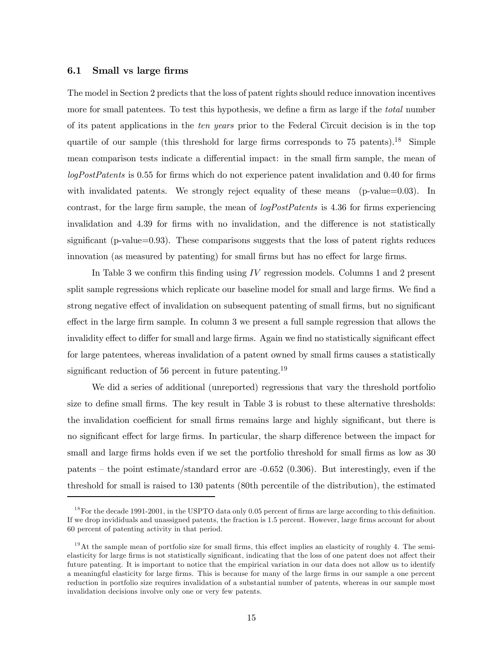#### 6.1 Small vs large firms

The model in Section 2 predicts that the loss of patent rights should reduce innovation incentives more for small patentees. To test this hypothesis, we define a firm as large if the *total* number of its patent applications in the ten years prior to the Federal Circuit decision is in the top quartile of our sample (this threshold for large firms corresponds to 75 patents).<sup>18</sup> Simple mean comparison tests indicate a differential impact: in the small firm sample, the mean of logPostPatents is 0.55 for firms which do not experience patent invalidation and 0.40 for firms with invalidated patents. We strongly reject equality of these means (p-value=0.03). In contrast, for the large firm sample, the mean of *logPostPatents* is 4.36 for firms experiencing invalidation and 4.39 for firms with no invalidation, and the difference is not statistically significant (p-value=0.93). These comparisons suggests that the loss of patent rights reduces innovation (as measured by patenting) for small firms but has no effect for large firms.

In Table 3 we confirm this finding using  $IV$  regression models. Columns 1 and 2 present split sample regressions which replicate our baseline model for small and large firms. We find a strong negative effect of invalidation on subsequent patenting of small firms, but no significant effect in the large firm sample. In column 3 we present a full sample regression that allows the invalidity effect to differ for small and large firms. Again we find no statistically significant effect for large patentees, whereas invalidation of a patent owned by small firms causes a statistically significant reduction of 56 percent in future patenting.<sup>19</sup>

We did a series of additional (unreported) regressions that vary the threshold portfolio size to define small firms. The key result in Table 3 is robust to these alternative thresholds: the invalidation coefficient for small firms remains large and highly significant, but there is no significant effect for large firms. In particular, the sharp difference between the impact for small and large firms holds even if we set the portfolio threshold for small firms as low as 30 patents — the point estimate/standard error are -0.652 (0.306). But interestingly, even if the threshold for small is raised to 130 patents (80th percentile of the distribution), the estimated

 $18$  For the decade 1991-2001, in the USPTO data only 0.05 percent of firms are large according to this definition. If we drop invididuals and unassigned patents, the fraction is 1.5 percent. However, large firms account for about 60 percent of patenting activity in that period.

 $19$ At the sample mean of portfolio size for small firms, this effect implies an elasticity of roughly 4. The semielasticity for large firms is not statistically significant, indicating that the loss of one patent does not affect their future patenting. It is important to notice that the empirical variation in our data does not allow us to identify a meaningful elasticity for large firms. This is because for many of the large firms in our sample a one percent reduction in portfolio size requires invalidation of a substantial number of patents, whereas in our sample most invalidation decisions involve only one or very few patents.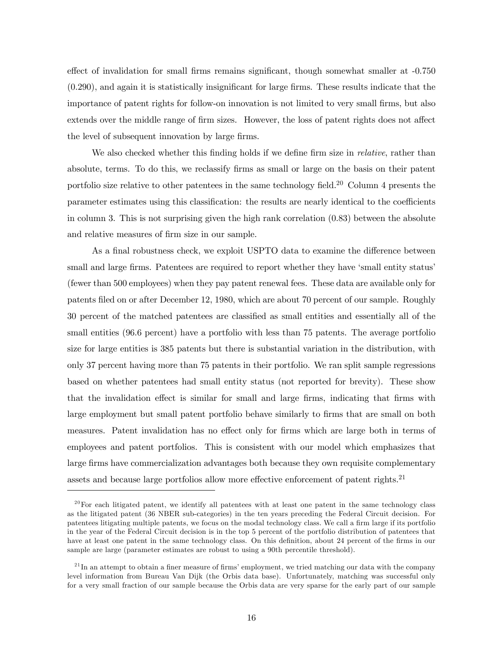effect of invalidation for small firms remains significant, though somewhat smaller at -0.750 (0.290), and again it is statistically insignificant for large firms. These results indicate that the importance of patent rights for follow-on innovation is not limited to very small firms, but also extends over the middle range of firm sizes. However, the loss of patent rights does not affect the level of subsequent innovation by large firms.

We also checked whether this finding holds if we define firm size in *relative*, rather than absolute, terms. To do this, we reclassify firms as small or large on the basis on their patent portfolio size relative to other patentees in the same technology field.<sup>20</sup> Column 4 presents the parameter estimates using this classification: the results are nearly identical to the coefficients in column 3. This is not surprising given the high rank correlation (0.83) between the absolute and relative measures of firm size in our sample.

As a final robustness check, we exploit USPTO data to examine the difference between small and large firms. Patentees are required to report whether they have 'small entity status' (fewer than 500 employees) when they pay patent renewal fees. These data are available only for patents filed on or after December 12, 1980, which are about 70 percent of our sample. Roughly 30 percent of the matched patentees are classified as small entities and essentially all of the small entities (96.6 percent) have a portfolio with less than 75 patents. The average portfolio size for large entities is 385 patents but there is substantial variation in the distribution, with only 37 percent having more than 75 patents in their portfolio. We ran split sample regressions based on whether patentees had small entity status (not reported for brevity). These show that the invalidation effect is similar for small and large firms, indicating that firms with large employment but small patent portfolio behave similarly to firms that are small on both measures. Patent invalidation has no effect only for firms which are large both in terms of employees and patent portfolios. This is consistent with our model which emphasizes that large firms have commercialization advantages both because they own requisite complementary assets and because large portfolios allow more effective enforcement of patent rights.<sup>21</sup>

 $^{20}$  For each litigated patent, we identify all patentees with at least one patent in the same technology class as the litigated patent (36 NBER sub-categories) in the ten years preceding the Federal Circuit decision. For patentees litigating multiple patents, we focus on the modal technology class. We call a firm large if its portfolio in the year of the Federal Circuit decision is in the top 5 percent of the portfolio distribution of patentees that have at least one patent in the same technology class. On this definition, about 24 percent of the firms in our sample are large (parameter estimates are robust to using a 90th percentile threshold).

 $^{21}$ In an attempt to obtain a finer measure of firms' employment, we tried matching our data with the company level information from Bureau Van Dijk (the Orbis data base). Unfortunately, matching was successful only for a very small fraction of our sample because the Orbis data are very sparse for the early part of our sample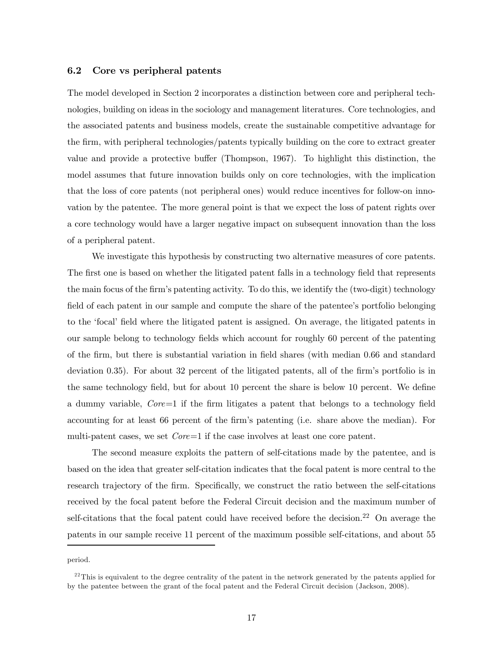#### 6.2 Core vs peripheral patents

The model developed in Section 2 incorporates a distinction between core and peripheral technologies, building on ideas in the sociology and management literatures. Core technologies, and the associated patents and business models, create the sustainable competitive advantage for the firm, with peripheral technologies/patents typically building on the core to extract greater value and provide a protective buffer (Thompson, 1967). To highlight this distinction, the model assumes that future innovation builds only on core technologies, with the implication that the loss of core patents (not peripheral ones) would reduce incentives for follow-on innovation by the patentee. The more general point is that we expect the loss of patent rights over a core technology would have a larger negative impact on subsequent innovation than the loss of a peripheral patent.

We investigate this hypothesis by constructing two alternative measures of core patents. The first one is based on whether the litigated patent falls in a technology field that represents the main focus of the firm's patenting activity. To do this, we identify the (two-digit) technology field of each patent in our sample and compute the share of the patentee's portfolio belonging to the 'focal' field where the litigated patent is assigned. On average, the litigated patents in our sample belong to technology fields which account for roughly 60 percent of the patenting of the firm, but there is substantial variation in field shares (with median 0.66 and standard deviation 0.35). For about 32 percent of the litigated patents, all of the firm's portfolio is in the same technology field, but for about 10 percent the share is below 10 percent. We define a dummy variable,  $Core=1$  if the firm litigates a patent that belongs to a technology field accounting for at least 66 percent of the firm's patenting (i.e. share above the median). For multi-patent cases, we set *Core*=1 if the case involves at least one core patent.

The second measure exploits the pattern of self-citations made by the patentee, and is based on the idea that greater self-citation indicates that the focal patent is more central to the research trajectory of the firm. Specifically, we construct the ratio between the self-citations received by the focal patent before the Federal Circuit decision and the maximum number of self-citations that the focal patent could have received before the decision.<sup>22</sup> On average the patents in our sample receive 11 percent of the maximum possible self-citations, and about 55

period.

 $2<sup>22</sup>$ This is equivalent to the degree centrality of the patent in the network generated by the patents applied for by the patentee between the grant of the focal patent and the Federal Circuit decision (Jackson, 2008).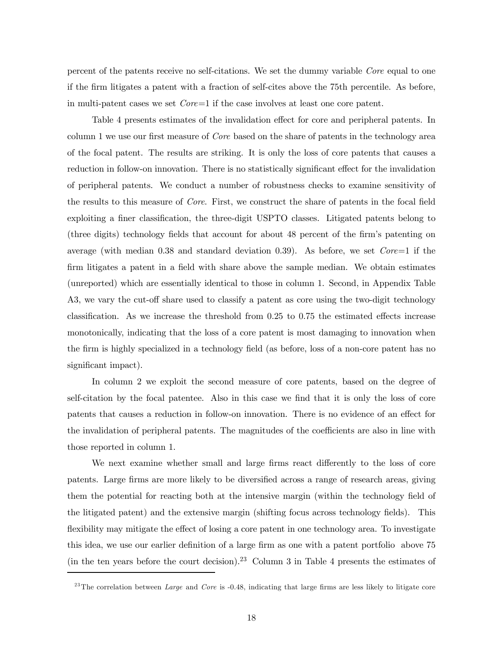percent of the patents receive no self-citations. We set the dummy variable Core equal to one if the firm litigates a patent with a fraction of self-cites above the 75th percentile. As before, in multi-patent cases we set  $Core=1$  if the case involves at least one core patent.

Table 4 presents estimates of the invalidation effect for core and peripheral patents. In column 1 we use our first measure of Core based on the share of patents in the technology area of the focal patent. The results are striking. It is only the loss of core patents that causes a reduction in follow-on innovation. There is no statistically significant effect for the invalidation of peripheral patents. We conduct a number of robustness checks to examine sensitivity of the results to this measure of Core. First, we construct the share of patents in the focal field exploiting a finer classification, the three-digit USPTO classes. Litigated patents belong to (three digits) technology fields that account for about 48 percent of the firm's patenting on average (with median 0.38 and standard deviation 0.39). As before, we set  $Core=1$  if the firm litigates a patent in a field with share above the sample median. We obtain estimates (unreported) which are essentially identical to those in column 1. Second, in Appendix Table A3, we vary the cut-off share used to classify a patent as core using the two-digit technology classification. As we increase the threshold from 0.25 to 0.75 the estimated effects increase monotonically, indicating that the loss of a core patent is most damaging to innovation when the firm is highly specialized in a technology field (as before, loss of a non-core patent has no significant impact).

In column 2 we exploit the second measure of core patents, based on the degree of self-citation by the focal patentee. Also in this case we find that it is only the loss of core patents that causes a reduction in follow-on innovation. There is no evidence of an effect for the invalidation of peripheral patents. The magnitudes of the coefficients are also in line with those reported in column 1.

We next examine whether small and large firms react differently to the loss of core patents. Large firms are more likely to be diversified across a range of research areas, giving them the potential for reacting both at the intensive margin (within the technology field of the litigated patent) and the extensive margin (shifting focus across technology fields). This flexibility may mitigate the effect of losing a core patent in one technology area. To investigate this idea, we use our earlier definition of a large firm as one with a patent portfolio above 75 (in the ten years before the court decision).<sup>23</sup> Column 3 in Table 4 presents the estimates of

<sup>&</sup>lt;sup>23</sup>The correlation between *Large* and *Core* is -0.48, indicating that large firms are less likely to litigate core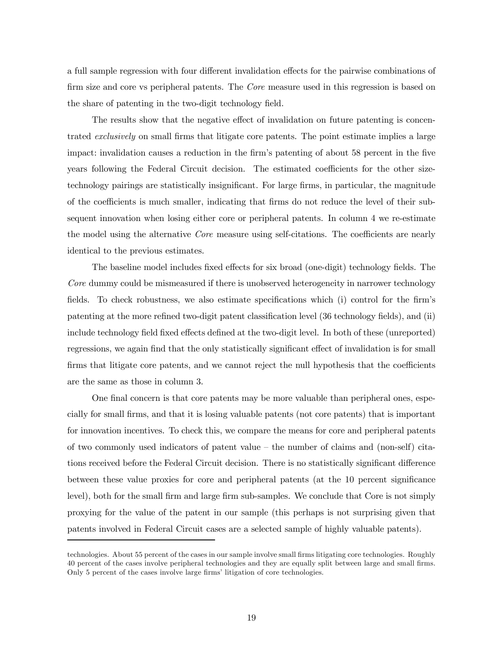a full sample regression with four different invalidation effects for the pairwise combinations of firm size and core vs peripheral patents. The Core measure used in this regression is based on the share of patenting in the two-digit technology field.

The results show that the negative effect of invalidation on future patenting is concentrated exclusively on small firms that litigate core patents. The point estimate implies a large impact: invalidation causes a reduction in the firm's patenting of about 58 percent in the five years following the Federal Circuit decision. The estimated coefficients for the other sizetechnology pairings are statistically insignificant. For large firms, in particular, the magnitude of the coefficients is much smaller, indicating that firms do not reduce the level of their subsequent innovation when losing either core or peripheral patents. In column 4 we re-estimate the model using the alternative Core measure using self-citations. The coefficients are nearly identical to the previous estimates.

The baseline model includes fixed effects for six broad (one-digit) technology fields. The Core dummy could be mismeasured if there is unobserved heterogeneity in narrower technology fields. To check robustness, we also estimate specifications which (i) control for the firm's patenting at the more refined two-digit patent classification level (36 technology fields), and (ii) include technology field fixed effects defined at the two-digit level. In both of these (unreported) regressions, we again find that the only statistically significant effect of invalidation is for small firms that litigate core patents, and we cannot reject the null hypothesis that the coefficients are the same as those in column 3.

One final concern is that core patents may be more valuable than peripheral ones, especially for small firms, and that it is losing valuable patents (not core patents) that is important for innovation incentives. To check this, we compare the means for core and peripheral patents of two commonly used indicators of patent value — the number of claims and (non-self) citations received before the Federal Circuit decision. There is no statistically significant difference between these value proxies for core and peripheral patents (at the 10 percent significance level), both for the small firm and large firm sub-samples. We conclude that Core is not simply proxying for the value of the patent in our sample (this perhaps is not surprising given that patents involved in Federal Circuit cases are a selected sample of highly valuable patents).

technologies. About 55 percent of the cases in our sample involve small firms litigating core technologies. Roughly 40 percent of the cases involve peripheral technologies and they are equally split between large and small firms. Only 5 percent of the cases involve large firms' litigation of core technologies.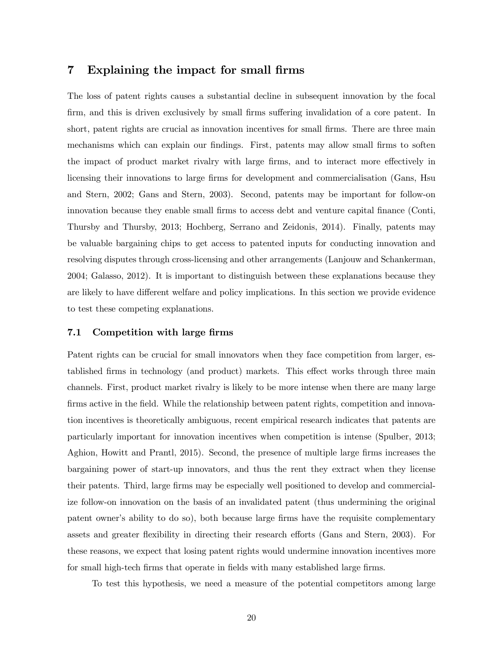## 7 Explaining the impact for small firms

The loss of patent rights causes a substantial decline in subsequent innovation by the focal firm, and this is driven exclusively by small firms suffering invalidation of a core patent. In short, patent rights are crucial as innovation incentives for small firms. There are three main mechanisms which can explain our findings. First, patents may allow small firms to soften the impact of product market rivalry with large firms, and to interact more effectively in licensing their innovations to large firms for development and commercialisation (Gans, Hsu and Stern, 2002; Gans and Stern, 2003). Second, patents may be important for follow-on innovation because they enable small firms to access debt and venture capital finance (Conti, Thursby and Thursby, 2013; Hochberg, Serrano and Zeidonis, 2014). Finally, patents may be valuable bargaining chips to get access to patented inputs for conducting innovation and resolving disputes through cross-licensing and other arrangements (Lanjouw and Schankerman, 2004; Galasso, 2012). It is important to distinguish between these explanations because they are likely to have different welfare and policy implications. In this section we provide evidence to test these competing explanations.

### 7.1 Competition with large firms

Patent rights can be crucial for small innovators when they face competition from larger, established firms in technology (and product) markets. This effect works through three main channels. First, product market rivalry is likely to be more intense when there are many large firms active in the field. While the relationship between patent rights, competition and innovation incentives is theoretically ambiguous, recent empirical research indicates that patents are particularly important for innovation incentives when competition is intense (Spulber, 2013; Aghion, Howitt and Prantl, 2015). Second, the presence of multiple large firms increases the bargaining power of start-up innovators, and thus the rent they extract when they license their patents. Third, large firms may be especially well positioned to develop and commercialize follow-on innovation on the basis of an invalidated patent (thus undermining the original patent owner's ability to do so), both because large firms have the requisite complementary assets and greater flexibility in directing their research efforts (Gans and Stern, 2003). For these reasons, we expect that losing patent rights would undermine innovation incentives more for small high-tech firms that operate in fields with many established large firms.

To test this hypothesis, we need a measure of the potential competitors among large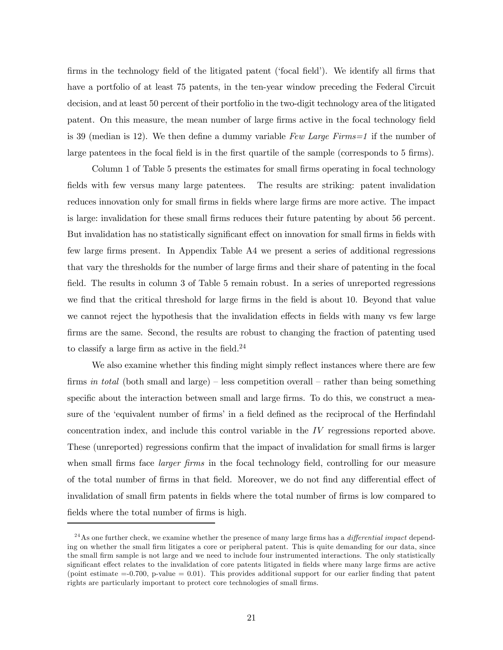firms in the technology field of the litigated patent ('focal field'). We identify all firms that have a portfolio of at least 75 patents, in the ten-year window preceding the Federal Circuit decision, and at least 50 percent of their portfolio in the two-digit technology area of the litigated patent. On this measure, the mean number of large firms active in the focal technology field is 39 (median is 12). We then define a dummy variable Few Large Firms  $=1$  if the number of large patentees in the focal field is in the first quartile of the sample (corresponds to 5 firms).

Column 1 of Table 5 presents the estimates for small firms operating in focal technology fields with few versus many large patentees. The results are striking: patent invalidation reduces innovation only for small firms in fields where large firms are more active. The impact is large: invalidation for these small firms reduces their future patenting by about 56 percent. But invalidation has no statistically significant effect on innovation for small firms in fields with few large firms present. In Appendix Table A4 we present a series of additional regressions that vary the thresholds for the number of large firms and their share of patenting in the focal field. The results in column 3 of Table 5 remain robust. In a series of unreported regressions we find that the critical threshold for large firms in the field is about 10. Beyond that value we cannot reject the hypothesis that the invalidation effects in fields with many vs few large firms are the same. Second, the results are robust to changing the fraction of patenting used to classify a large firm as active in the field. $^{24}$ 

We also examine whether this finding might simply reflect instances where there are few firms in total (both small and large) – less competition overall – rather than being something specific about the interaction between small and large firms. To do this, we construct a measure of the 'equivalent number of firms' in a field defined as the reciprocal of the Herfindahl concentration index, and include this control variable in the IV regressions reported above. These (unreported) regressions confirm that the impact of invalidation for small firms is larger when small firms face *larger firms* in the focal technology field, controlling for our measure of the total number of firms in that field. Moreover, we do not find any differential effect of invalidation of small firm patents in fields where the total number of firms is low compared to fields where the total number of firms is high.

<sup>&</sup>lt;sup>24</sup> As one further check, we examine whether the presence of many large firms has a *differential impact* depending on whether the small firm litigates a core or peripheral patent. This is quite demanding for our data, since the small firm sample is not large and we need to include four instrumented interactions. The only statistically significant effect relates to the invalidation of core patents litigated in fields where many large firms are active (point estimate =-0.700, p-value = 0.01). This provides additional support for our earlier finding that patent rights are particularly important to protect core technologies of small firms.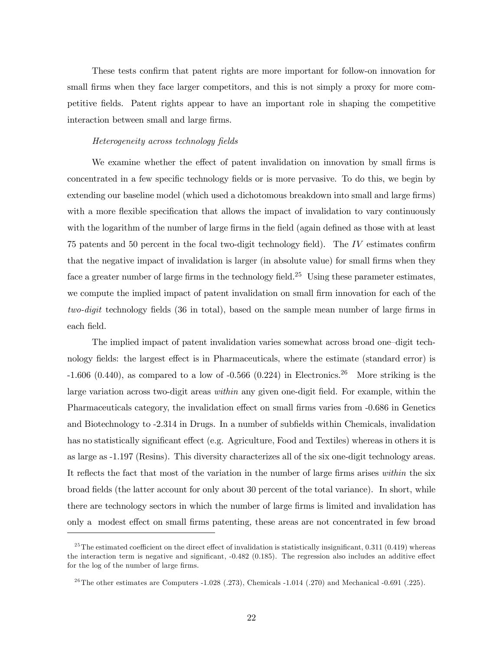These tests confirm that patent rights are more important for follow-on innovation for small firms when they face larger competitors, and this is not simply a proxy for more competitive fields. Patent rights appear to have an important role in shaping the competitive interaction between small and large firms.

#### Heterogeneity across technology fields

We examine whether the effect of patent invalidation on innovation by small firms is concentrated in a few specific technology fields or is more pervasive. To do this, we begin by extending our baseline model (which used a dichotomous breakdown into small and large firms) with a more flexible specification that allows the impact of invalidation to vary continuously with the logarithm of the number of large firms in the field (again defined as those with at least 75 patents and 50 percent in the focal two-digit technology field). The IV estimates confirm that the negative impact of invalidation is larger (in absolute value) for small firms when they face a greater number of large firms in the technology field.<sup>25</sup> Using these parameter estimates, we compute the implied impact of patent invalidation on small firm innovation for each of the two-digit technology fields (36 in total), based on the sample mean number of large firms in each field.

The implied impact of patent invalidation varies somewhat across broad one—digit technology fields: the largest effect is in Pharmaceuticals, where the estimate (standard error) is  $-1.606$  (0.440), as compared to a low of  $-0.566$  (0.224) in Electronics.<sup>26</sup> More striking is the large variation across two-digit areas within any given one-digit field. For example, within the Pharmaceuticals category, the invalidation effect on small firms varies from -0.686 in Genetics and Biotechnology to -2.314 in Drugs. In a number of subfields within Chemicals, invalidation has no statistically significant effect (e.g. Agriculture, Food and Textiles) whereas in others it is as large as -1.197 (Resins). This diversity characterizes all of the six one-digit technology areas. It reflects the fact that most of the variation in the number of large firms arises within the six broad fields (the latter account for only about 30 percent of the total variance). In short, while there are technology sectors in which the number of large firms is limited and invalidation has only a modest effect on small firms patenting, these areas are not concentrated in few broad

 $^{25}$ The estimated coefficient on the direct effect of invalidation is statistically insignificant, 0.311 (0.419) whereas the interaction term is negative and significant, -0.482 (0.185). The regression also includes an additive effect for the log of the number of large firms.

<sup>&</sup>lt;sup>26</sup>The other estimates are Computers -1.028 (.273), Chemicals -1.014 (.270) and Mechanical -0.691 (.225).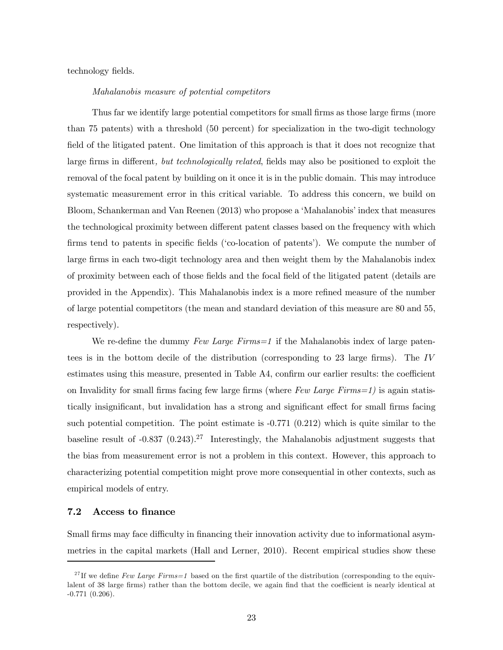technology fields.

#### Mahalanobis measure of potential competitors

Thus far we identify large potential competitors for small firms as those large firms (more than 75 patents) with a threshold (50 percent) for specialization in the two-digit technology field of the litigated patent. One limitation of this approach is that it does not recognize that large firms in different, but technologically related, fields may also be positioned to exploit the removal of the focal patent by building on it once it is in the public domain. This may introduce systematic measurement error in this critical variable. To address this concern, we build on Bloom, Schankerman and Van Reenen (2013) who propose a 'Mahalanobis' index that measures the technological proximity between different patent classes based on the frequency with which firms tend to patents in specific fields ('co-location of patents'). We compute the number of large firms in each two-digit technology area and then weight them by the Mahalanobis index of proximity between each of those fields and the focal field of the litigated patent (details are provided in the Appendix). This Mahalanobis index is a more refined measure of the number of large potential competitors (the mean and standard deviation of this measure are 80 and 55, respectively).

We re-define the dummy Few Large Firms  $=1$  if the Mahalanobis index of large patentees is in the bottom decile of the distribution (corresponding to 23 large firms). The IV estimates using this measure, presented in Table A4, confirm our earlier results: the coefficient on Invalidity for small firms facing few large firms (where Few Large Firms=1) is again statistically insignificant, but invalidation has a strong and significant effect for small firms facing such potential competition. The point estimate is  $-0.771$   $(0.212)$  which is quite similar to the baseline result of -0.837 (0.243).<sup>27</sup> Interestingly, the Mahalanobis adjustment suggests that the bias from measurement error is not a problem in this context. However, this approach to characterizing potential competition might prove more consequential in other contexts, such as empirical models of entry.

#### 7.2 Access to finance

Small firms may face difficulty in financing their innovation activity due to informational asymmetries in the capital markets (Hall and Lerner, 2010). Recent empirical studies show these

<sup>&</sup>lt;sup>27</sup>If we define Few Large Firms=1 based on the first quartile of the distribution (corresponding to the equivlalent of 38 large firms) rather than the bottom decile, we again find that the coefficient is nearly identical at -0.771 (0.206).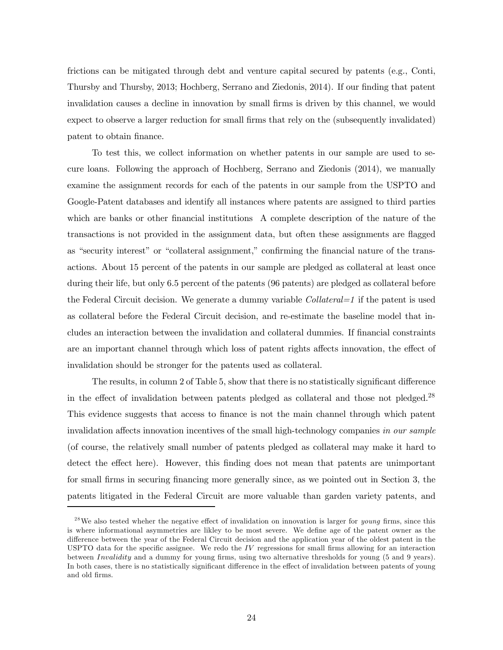frictions can be mitigated through debt and venture capital secured by patents (e.g., Conti, Thursby and Thursby, 2013; Hochberg, Serrano and Ziedonis, 2014). If our finding that patent invalidation causes a decline in innovation by small firms is driven by this channel, we would expect to observe a larger reduction for small firms that rely on the (subsequently invalidated) patent to obtain finance.

To test this, we collect information on whether patents in our sample are used to secure loans. Following the approach of Hochberg, Serrano and Ziedonis (2014), we manually examine the assignment records for each of the patents in our sample from the USPTO and Google-Patent databases and identify all instances where patents are assigned to third parties which are banks or other financial institutions A complete description of the nature of the transactions is not provided in the assignment data, but often these assignments are flagged as "security interest" or "collateral assignment," confirming the financial nature of the transactions. About 15 percent of the patents in our sample are pledged as collateral at least once during their life, but only 6.5 percent of the patents (96 patents) are pledged as collateral before the Federal Circuit decision. We generate a dummy variable  $Collateral=1$  if the patent is used as collateral before the Federal Circuit decision, and re-estimate the baseline model that includes an interaction between the invalidation and collateral dummies. If financial constraints are an important channel through which loss of patent rights affects innovation, the effect of invalidation should be stronger for the patents used as collateral.

The results, in column 2 of Table 5, show that there is no statistically significant difference in the effect of invalidation between patents pledged as collateral and those not pledged.<sup>28</sup> This evidence suggests that access to finance is not the main channel through which patent invalidation affects innovation incentives of the small high-technology companies in our sample (of course, the relatively small number of patents pledged as collateral may make it hard to detect the effect here). However, this finding does not mean that patents are unimportant for small firms in securing financing more generally since, as we pointed out in Section 3, the patents litigated in the Federal Circuit are more valuable than garden variety patents, and

<sup>&</sup>lt;sup>28</sup>We also tested wheher the negative effect of invalidation on innovation is larger for *young* firms, since this is where informational asymmetries are likley to be most severe. We define age of the patent owner as the difference between the year of the Federal Circuit decision and the application year of the oldest patent in the USPTO data for the specific assignee. We redo the  $IV$  regressions for small firms allowing for an interaction between Invalidity and a dummy for young firms, using two alternative thresholds for young (5 and 9 years). In both cases, there is no statistically significant difference in the effect of invalidation between patents of young and old firms.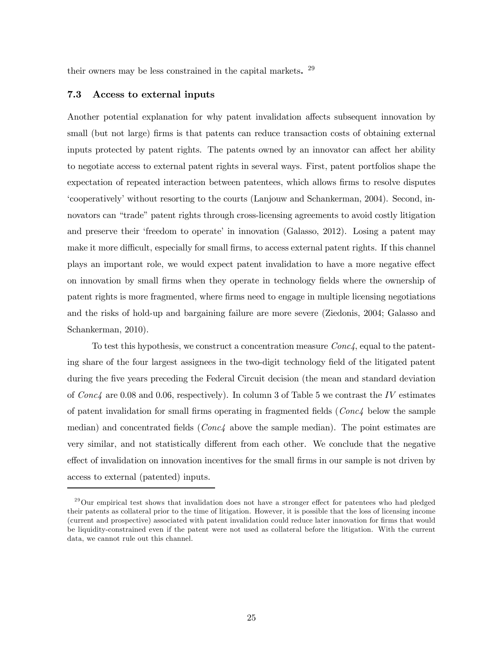their owners may be less constrained in the capital markets. <sup>29</sup>

#### 7.3 Access to external inputs

Another potential explanation for why patent invalidation affects subsequent innovation by small (but not large) firms is that patents can reduce transaction costs of obtaining external inputs protected by patent rights. The patents owned by an innovator can affect her ability to negotiate access to external patent rights in several ways. First, patent portfolios shape the expectation of repeated interaction between patentees, which allows firms to resolve disputes 'cooperatively' without resorting to the courts (Lanjouw and Schankerman, 2004). Second, innovators can "trade" patent rights through cross-licensing agreements to avoid costly litigation and preserve their 'freedom to operate' in innovation (Galasso, 2012). Losing a patent may make it more difficult, especially for small firms, to access external patent rights. If this channel plays an important role, we would expect patent invalidation to have a more negative effect on innovation by small firms when they operate in technology fields where the ownership of patent rights is more fragmented, where firms need to engage in multiple licensing negotiations and the risks of hold-up and bargaining failure are more severe (Ziedonis, 2004; Galasso and Schankerman, 2010).

To test this hypothesis, we construct a concentration measure Conc4, equal to the patenting share of the four largest assignees in the two-digit technology field of the litigated patent during the five years preceding the Federal Circuit decision (the mean and standard deviation of Conc $\mu$  are 0.08 and 0.06, respectively). In column 3 of Table 5 we contrast the IV estimates of patent invalidation for small firms operating in fragmented fields (Conc4 below the sample median) and concentrated fields ( $Conc4$  above the sample median). The point estimates are very similar, and not statistically different from each other. We conclude that the negative effect of invalidation on innovation incentives for the small firms in our sample is not driven by access to external (patented) inputs.

<sup>&</sup>lt;sup>29</sup>Our empirical test shows that invalidation does not have a stronger effect for patentees who had pledged their patents as collateral prior to the time of litigation. However, it is possible that the loss of licensing income (current and prospective) associated with patent invalidation could reduce later innovation for firms that would be liquidity-constrained even if the patent were not used as collateral before the litigation. With the current data, we cannot rule out this channel.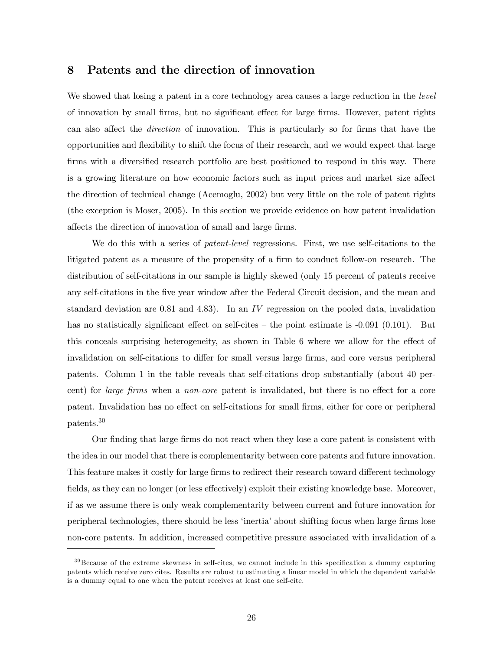## 8 Patents and the direction of innovation

We showed that losing a patent in a core technology area causes a large reduction in the *level* of innovation by small firms, but no significant effect for large firms. However, patent rights can also affect the direction of innovation. This is particularly so for firms that have the opportunities and flexibility to shift the focus of their research, and we would expect that large firms with a diversified research portfolio are best positioned to respond in this way. There is a growing literature on how economic factors such as input prices and market size affect the direction of technical change (Acemoglu, 2002) but very little on the role of patent rights (the exception is Moser, 2005). In this section we provide evidence on how patent invalidation affects the direction of innovation of small and large firms.

We do this with a series of *patent-level* regressions. First, we use self-citations to the litigated patent as a measure of the propensity of a firm to conduct follow-on research. The distribution of self-citations in our sample is highly skewed (only 15 percent of patents receive any self-citations in the five year window after the Federal Circuit decision, and the mean and standard deviation are 0.81 and 4.83). In an IV regression on the pooled data, invalidation has no statistically significant effect on self-cites – the point estimate is -0.091 (0.101). But this conceals surprising heterogeneity, as shown in Table 6 where we allow for the effect of invalidation on self-citations to differ for small versus large firms, and core versus peripheral patents. Column 1 in the table reveals that self-citations drop substantially (about 40 percent) for large firms when a non-core patent is invalidated, but there is no effect for a core patent. Invalidation has no effect on self-citations for small firms, either for core or peripheral patents.<sup>30</sup>

Our finding that large firms do not react when they lose a core patent is consistent with the idea in our model that there is complementarity between core patents and future innovation. This feature makes it costly for large firms to redirect their research toward different technology fields, as they can no longer (or less effectively) exploit their existing knowledge base. Moreover, if as we assume there is only weak complementarity between current and future innovation for peripheral technologies, there should be less 'inertia' about shifting focus when large firms lose non-core patents. In addition, increased competitive pressure associated with invalidation of a

 $30$ Because of the extreme skewness in self-cites, we cannot include in this specification a dummy capturing patents which receive zero cites. Results are robust to estimating a linear model in which the dependent variable is a dummy equal to one when the patent receives at least one self-cite.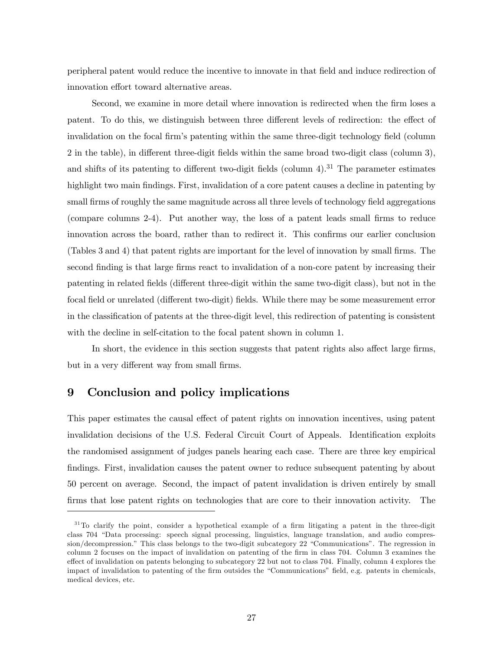peripheral patent would reduce the incentive to innovate in that field and induce redirection of innovation effort toward alternative areas.

Second, we examine in more detail where innovation is redirected when the firm loses a patent. To do this, we distinguish between three different levels of redirection: the effect of invalidation on the focal firm's patenting within the same three-digit technology field (column 2 in the table), in different three-digit fields within the same broad two-digit class (column 3), and shifts of its patenting to different two-digit fields (column  $4$ ).<sup>31</sup> The parameter estimates highlight two main findings. First, invalidation of a core patent causes a decline in patenting by small firms of roughly the same magnitude across all three levels of technology field aggregations (compare columns 2-4). Put another way, the loss of a patent leads small firms to reduce innovation across the board, rather than to redirect it. This confirms our earlier conclusion (Tables 3 and 4) that patent rights are important for the level of innovation by small firms. The second finding is that large firms react to invalidation of a non-core patent by increasing their patenting in related fields (different three-digit within the same two-digit class), but not in the focal field or unrelated (different two-digit) fields. While there may be some measurement error in the classification of patents at the three-digit level, this redirection of patenting is consistent with the decline in self-citation to the focal patent shown in column 1.

In short, the evidence in this section suggests that patent rights also affect large firms, but in a very different way from small firms.

## 9 Conclusion and policy implications

This paper estimates the causal effect of patent rights on innovation incentives, using patent invalidation decisions of the U.S. Federal Circuit Court of Appeals. Identification exploits the randomised assignment of judges panels hearing each case. There are three key empirical findings. First, invalidation causes the patent owner to reduce subsequent patenting by about 50 percent on average. Second, the impact of patent invalidation is driven entirely by small firms that lose patent rights on technologies that are core to their innovation activity. The

 $31$ To clarify the point, consider a hypothetical example of a firm litigating a patent in the three-digit class 704 "Data processing: speech signal processing, linguistics, language translation, and audio compression/decompression." This class belongs to the two-digit subcategory 22 "Communications". The regression in column 2 focuses on the impact of invalidation on patenting of the firm in class 704. Column 3 examines the effect of invalidation on patents belonging to subcategory 22 but not to class 704. Finally, column 4 explores the impact of invalidation to patenting of the firm outsides the "Communications" field, e.g. patents in chemicals, medical devices, etc.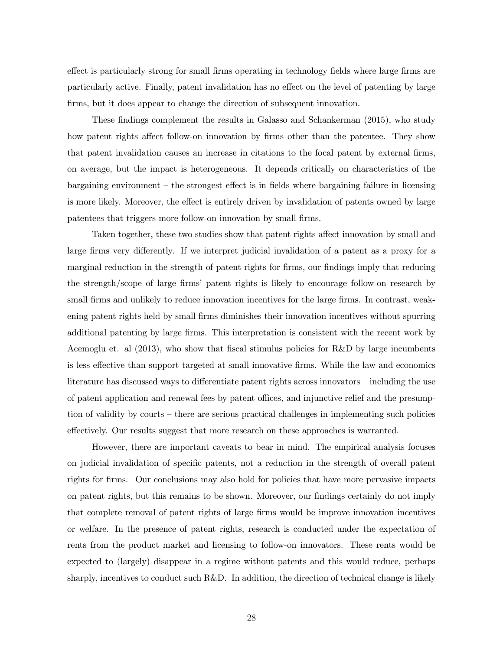effect is particularly strong for small firms operating in technology fields where large firms are particularly active. Finally, patent invalidation has no effect on the level of patenting by large firms, but it does appear to change the direction of subsequent innovation.

These findings complement the results in Galasso and Schankerman (2015), who study how patent rights affect follow-on innovation by firms other than the patentee. They show that patent invalidation causes an increase in citations to the focal patent by external firms, on average, but the impact is heterogeneous. It depends critically on characteristics of the bargaining environment — the strongest effect is in fields where bargaining failure in licensing is more likely. Moreover, the effect is entirely driven by invalidation of patents owned by large patentees that triggers more follow-on innovation by small firms.

Taken together, these two studies show that patent rights affect innovation by small and large firms very differently. If we interpret judicial invalidation of a patent as a proxy for a marginal reduction in the strength of patent rights for firms, our findings imply that reducing the strength/scope of large firms' patent rights is likely to encourage follow-on research by small firms and unlikely to reduce innovation incentives for the large firms. In contrast, weakening patent rights held by small firms diminishes their innovation incentives without spurring additional patenting by large firms. This interpretation is consistent with the recent work by Acemoglu et. al (2013), who show that fiscal stimulus policies for R&D by large incumbents is less effective than support targeted at small innovative firms. While the law and economics literature has discussed ways to differentiate patent rights across innovators — including the use of patent application and renewal fees by patent offices, and injunctive relief and the presumption of validity by courts — there are serious practical challenges in implementing such policies effectively. Our results suggest that more research on these approaches is warranted.

However, there are important caveats to bear in mind. The empirical analysis focuses on judicial invalidation of specific patents, not a reduction in the strength of overall patent rights for firms. Our conclusions may also hold for policies that have more pervasive impacts on patent rights, but this remains to be shown. Moreover, our findings certainly do not imply that complete removal of patent rights of large firms would be improve innovation incentives or welfare. In the presence of patent rights, research is conducted under the expectation of rents from the product market and licensing to follow-on innovators. These rents would be expected to (largely) disappear in a regime without patents and this would reduce, perhaps sharply, incentives to conduct such R&D. In addition, the direction of technical change is likely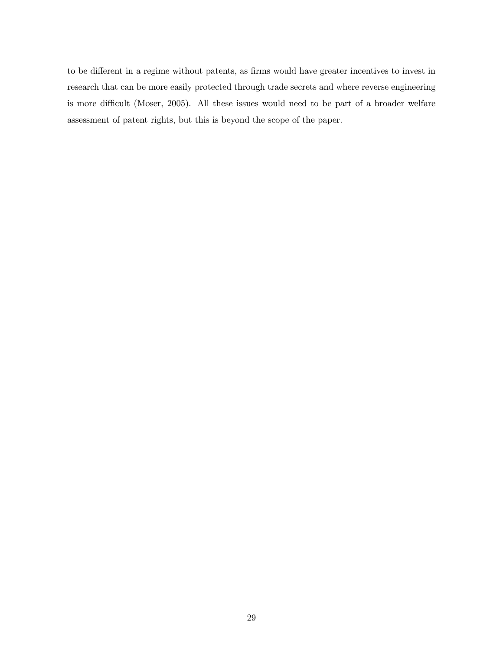to be different in a regime without patents, as firms would have greater incentives to invest in research that can be more easily protected through trade secrets and where reverse engineering is more difficult (Moser, 2005). All these issues would need to be part of a broader welfare assessment of patent rights, but this is beyond the scope of the paper.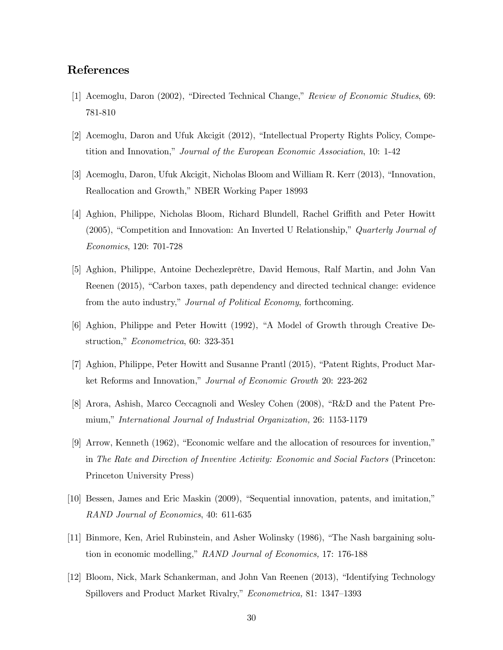## References

- [1] Acemoglu, Daron (2002), "Directed Technical Change," Review of Economic Studies, 69: 781-810
- [2] Acemoglu, Daron and Ufuk Akcigit (2012), "Intellectual Property Rights Policy, Competition and Innovation," Journal of the European Economic Association, 10: 1-42
- [3] Acemoglu, Daron, Ufuk Akcigit, Nicholas Bloom and William R. Kerr (2013), "Innovation, Reallocation and Growth," NBER Working Paper 18993
- [4] Aghion, Philippe, Nicholas Bloom, Richard Blundell, Rachel Griffith and Peter Howitt (2005), "Competition and Innovation: An Inverted U Relationship," Quarterly Journal of Economics, 120: 701-728
- [5] Aghion, Philippe, Antoine Dechezleprêtre, David Hemous, Ralf Martin, and John Van Reenen (2015), "Carbon taxes, path dependency and directed technical change: evidence from the auto industry," Journal of Political Economy, forthcoming.
- [6] Aghion, Philippe and Peter Howitt (1992), "A Model of Growth through Creative Destruction," Econometrica, 60: 323-351
- [7] Aghion, Philippe, Peter Howitt and Susanne Prantl (2015), "Patent Rights, Product Market Reforms and Innovation," Journal of Economic Growth 20: 223-262
- [8] Arora, Ashish, Marco Ceccagnoli and Wesley Cohen (2008), "R&D and the Patent Premium," International Journal of Industrial Organization, 26: 1153-1179
- [9] Arrow, Kenneth (1962), "Economic welfare and the allocation of resources for invention," in The Rate and Direction of Inventive Activity: Economic and Social Factors (Princeton: Princeton University Press)
- [10] Bessen, James and Eric Maskin (2009), "Sequential innovation, patents, and imitation," RAND Journal of Economics, 40: 611-635
- [11] Binmore, Ken, Ariel Rubinstein, and Asher Wolinsky (1986), "The Nash bargaining solution in economic modelling," RAND Journal of Economics, 17: 176-188
- [12] Bloom, Nick, Mark Schankerman, and John Van Reenen (2013), "Identifying Technology Spillovers and Product Market Rivalry," Econometrica, 81: 1347—1393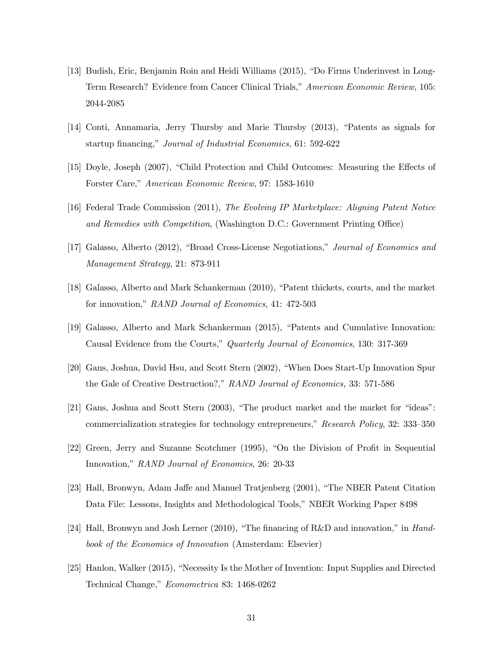- [13] Budish, Eric, Benjamin Roin and Heidi Williams (2015), "Do Firms Underinvest in Long-Term Research? Evidence from Cancer Clinical Trials," American Economic Review, 105: 2044-2085
- [14] Conti, Annamaria, Jerry Thursby and Marie Thursby (2013), "Patents as signals for startup financing," Journal of Industrial Economics, 61: 592-622
- [15] Doyle, Joseph (2007), "Child Protection and Child Outcomes: Measuring the Effects of Forster Care," American Economic Review, 97: 1583-1610
- [16] Federal Trade Commission (2011), The Evolving IP Marketplace: Aligning Patent Notice and Remedies with Competition, (Washington D.C.: Government Printing Office)
- [17] Galasso, Alberto (2012), "Broad Cross-License Negotiations," Journal of Economics and Management Strategy, 21: 873-911
- [18] Galasso, Alberto and Mark Schankerman (2010), "Patent thickets, courts, and the market for innovation," RAND Journal of Economics, 41: 472-503
- [19] Galasso, Alberto and Mark Schankerman (2015), "Patents and Cumulative Innovation: Causal Evidence from the Courts," Quarterly Journal of Economics, 130: 317-369
- [20] Gans, Joshua, David Hsu, and Scott Stern (2002), "When Does Start-Up Innovation Spur the Gale of Creative Destruction?," RAND Journal of Economics, 33: 571-586
- [21] Gans, Joshua and Scott Stern (2003), "The product market and the market for "ideas": commercialization strategies for technology entrepreneurs," Research Policy, 32: 333—350
- [22] Green, Jerry and Suzanne Scotchmer (1995), "On the Division of Profit in Sequential Innovation," RAND Journal of Economics, 26: 20-33
- [23] Hall, Bronwyn, Adam Jaffe and Manuel Tratjenberg (2001), "The NBER Patent Citation Data File: Lessons, Insights and Methodological Tools," NBER Working Paper 8498
- [24] Hall, Bronwyn and Josh Lerner (2010), "The financing of R&D and innovation," in Handbook of the Economics of Innovation (Amsterdam: Elsevier)
- [25] Hanlon, Walker (2015), "Necessity Is the Mother of Invention: Input Supplies and Directed Technical Change," Econometrica 83: 1468-0262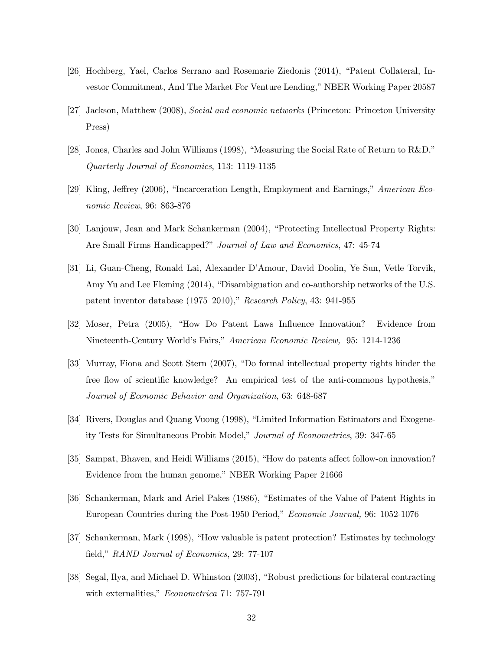- [26] Hochberg, Yael, Carlos Serrano and Rosemarie Ziedonis (2014), "Patent Collateral, Investor Commitment, And The Market For Venture Lending," NBER Working Paper 20587
- [27] Jackson, Matthew (2008), Social and economic networks (Princeton: Princeton University Press)
- [28] Jones, Charles and John Williams (1998), "Measuring the Social Rate of Return to R&D," Quarterly Journal of Economics, 113: 1119-1135
- [29] Kling, Jeffrey (2006), "Incarceration Length, Employment and Earnings," American Economic Review, 96: 863-876
- [30] Lanjouw, Jean and Mark Schankerman (2004), "Protecting Intellectual Property Rights: Are Small Firms Handicapped?" Journal of Law and Economics, 47: 45-74
- [31] Li, Guan-Cheng, Ronald Lai, Alexander D'Amour, David Doolin, Ye Sun, Vetle Torvik, Amy Yu and Lee Fleming (2014), "Disambiguation and co-authorship networks of the U.S. patent inventor database (1975—2010)," Research Policy, 43: 941-955
- [32] Moser, Petra (2005), "How Do Patent Laws Influence Innovation? Evidence from Nineteenth-Century World's Fairs," American Economic Review, 95: 1214-1236
- [33] Murray, Fiona and Scott Stern (2007), "Do formal intellectual property rights hinder the free flow of scientific knowledge? An empirical test of the anti-commons hypothesis," Journal of Economic Behavior and Organization, 63: 648-687
- [34] Rivers, Douglas and Quang Vuong (1998), "Limited Information Estimators and Exogeneity Tests for Simultaneous Probit Model," Journal of Econometrics, 39: 347-65
- [35] Sampat, Bhaven, and Heidi Williams (2015), "How do patents affect follow-on innovation? Evidence from the human genome," NBER Working Paper 21666
- [36] Schankerman, Mark and Ariel Pakes (1986), "Estimates of the Value of Patent Rights in European Countries during the Post-1950 Period," Economic Journal, 96: 1052-1076
- [37] Schankerman, Mark (1998), "How valuable is patent protection? Estimates by technology field," RAND Journal of Economics, 29: 77-107
- [38] Segal, Ilya, and Michael D. Whinston (2003), "Robust predictions for bilateral contracting with externalities," *Econometrica* 71: 757-791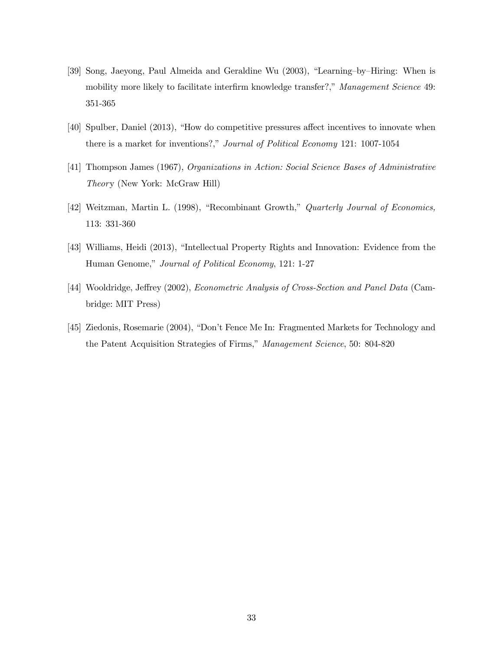- [39] Song, Jaeyong, Paul Almeida and Geraldine Wu (2003), "Learning—by—Hiring: When is mobility more likely to facilitate interfirm knowledge transfer?," Management Science 49: 351-365
- [40] Spulber, Daniel (2013), "How do competitive pressures affect incentives to innovate when there is a market for inventions?," Journal of Political Economy 121: 1007-1054
- [41] Thompson James (1967), Organizations in Action: Social Science Bases of Administrative Theory (New York: McGraw Hill)
- [42] Weitzman, Martin L. (1998), "Recombinant Growth," Quarterly Journal of Economics, 113: 331-360
- [43] Williams, Heidi (2013), "Intellectual Property Rights and Innovation: Evidence from the Human Genome," Journal of Political Economy, 121: 1-27
- [44] Wooldridge, Jeffrey (2002), Econometric Analysis of Cross-Section and Panel Data (Cambridge: MIT Press)
- [45] Ziedonis, Rosemarie (2004), "Don't Fence Me In: Fragmented Markets for Technology and the Patent Acquisition Strategies of Firms," Management Science, 50: 804-820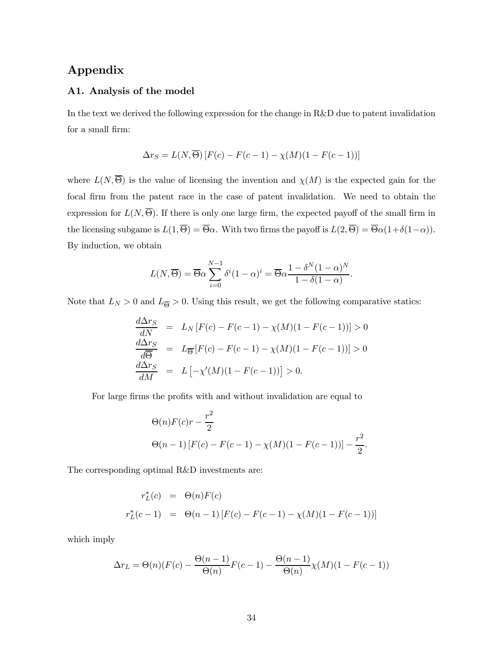## Appendix

#### A1. Analysis of the model

In the text we derived the following expression for the change in R&D due to patent invalidation for a small firm:

$$
\Delta r_S = L(N, \overline{\Theta}) \left[ F(c) - F(c-1) - \chi(M)(1 - F(c-1)) \right]
$$

where  $L(N, \overline{\Theta})$  is the value of licensing the invention and  $\chi(M)$  is the expected gain for the focal firm from the patent race in the case of patent invalidation. We need to obtain the expression for  $L(N, \overline{\Theta})$ . If there is only one large firm, the expected payoff of the small firm in the licensing subgame is  $L(1,\overline{\Theta}) = \overline{\Theta}\alpha$ . With two firms the payoff is  $L(2,\overline{\Theta}) = \overline{\Theta}\alpha(1+\delta(1-\alpha))$ . By induction, we obtain

$$
L(N,\overline{\Theta}) = \overline{\Theta}\alpha \sum_{i=0}^{N-1} \delta^{i} (1-\alpha)^{i} = \overline{\Theta}\alpha \frac{1-\delta^{N}(1-\alpha)^{N}}{1-\delta(1-\alpha)}.
$$

Note that  $L_N > 0$  and  $L_{\overline{\Theta}} > 0$ . Using this result, we get the following comparative statics:

$$
\frac{d\Delta r_S}{dN} = L_N [F(c) - F(c-1) - \chi(M)(1 - F(c-1))] > 0
$$
  
\n
$$
\frac{d\Delta r_S}{d\overline{\Theta}} = L_{\overline{\Theta}} [F(c) - F(c-1) - \chi(M)(1 - F(c-1))] > 0
$$
  
\n
$$
\frac{d\Delta r_S}{dM} = L \left[ -\chi'(M)(1 - F(c-1)) \right] > 0.
$$

For large firms the profits with and without invalidation are equal to

$$
\Theta(n)F(c)r - \frac{r^2}{2}
$$
  
 
$$
\Theta(n-1)[F(c) - F(c-1) - \chi(M)(1 - F(c-1))] - \frac{r^2}{2}.
$$

The corresponding optimal R&D investments are:

$$
r_L^*(c) = \Theta(n)F(c)
$$
  

$$
r_L^*(c-1) = \Theta(n-1)[F(c) - F(c-1) - \chi(M)(1 - F(c-1))]
$$

which imply

$$
\Delta r_L = \Theta(n)(F(c) - \frac{\Theta(n-1)}{\Theta(n)}F(c-1) - \frac{\Theta(n-1)}{\Theta(n)}\chi(M)(1 - F(c-1))
$$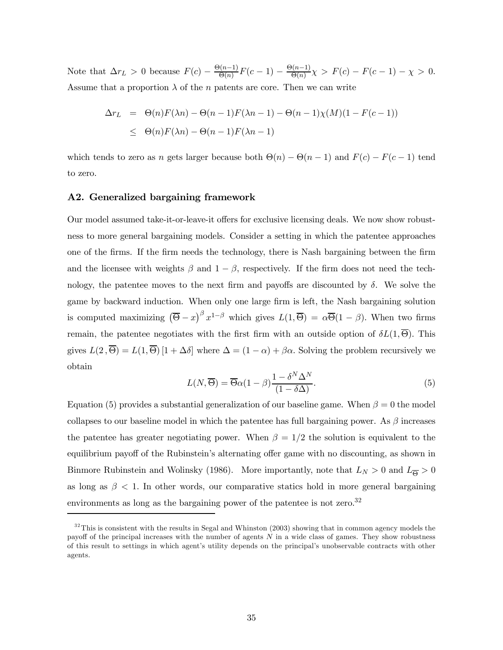Note that  $\Delta r_L > 0$  because  $F(c) - \frac{\Theta(n-1)}{\Theta(n)}$  $\frac{\Theta(n-1)}{\Theta(n)}F(c-1) - \frac{\Theta(n-1)}{\Theta(n)}$  $\frac{P(n-1)}{\Theta(n)}\chi > F(c) - F(c-1) - \chi > 0.$ Assume that a proportion  $\lambda$  of the *n* patents are core. Then we can write

$$
\Delta r_L = \Theta(n)F(\lambda n) - \Theta(n-1)F(\lambda n-1) - \Theta(n-1)\chi(M)(1 - F(c-1))
$$
  
\n
$$
\leq \Theta(n)F(\lambda n) - \Theta(n-1)F(\lambda n-1)
$$

which tends to zero as n gets larger because both  $\Theta(n) - \Theta(n-1)$  and  $F(c) - F(c-1)$  tend to zero.

#### A2. Generalized bargaining framework

Our model assumed take-it-or-leave-it offers for exclusive licensing deals. We now show robustness to more general bargaining models. Consider a setting in which the patentee approaches one of the firms. If the firm needs the technology, there is Nash bargaining between the firm and the licensee with weights  $\beta$  and  $1 - \beta$ , respectively. If the firm does not need the technology, the patentee moves to the next firm and payoffs are discounted by  $\delta$ . We solve the game by backward induction. When only one large firm is left, the Nash bargaining solution is computed maximizing  $(\overline{\Theta} - x)^{\beta} x^{1-\beta}$  which gives  $L(1, \overline{\Theta}) = \alpha \overline{\Theta}(1-\beta)$ . When two firms remain, the patentee negotiates with the first firm with an outside option of  $\delta L(1,\overline{\Theta})$ . This gives  $L(2, \overline{\Theta}) = L(1, \overline{\Theta}) [1 + \Delta \delta]$  where  $\Delta = (1 - \alpha) + \beta \alpha$ . Solving the problem recursively we obtain

$$
L(N,\overline{\Theta}) = \overline{\Theta}\alpha(1-\beta)\frac{1-\delta^N\Delta^N}{(1-\delta\Delta)}.
$$
\n(5)

Equation (5) provides a substantial generalization of our baseline game. When  $\beta = 0$  the model collapses to our baseline model in which the patentee has full bargaining power. As  $\beta$  increases the patentee has greater negotiating power. When  $\beta = 1/2$  the solution is equivalent to the equilibrium payoff of the Rubinstein's alternating offer game with no discounting, as shown in Binmore Rubinstein and Wolinsky (1986). More importantly, note that  $L_N > 0$  and  $L_{\overline{\Theta}} > 0$ as long as  $\beta$  < 1. In other words, our comparative statics hold in more general bargaining environments as long as the bargaining power of the patentee is not zero.<sup>32</sup>

 $32$ This is consistent with the results in Segal and Whinston (2003) showing that in common agency models the payoff of the principal increases with the number of agents  $N$  in a wide class of games. They show robustness of this result to settings in which agent's utility depends on the principal's unobservable contracts with other agents.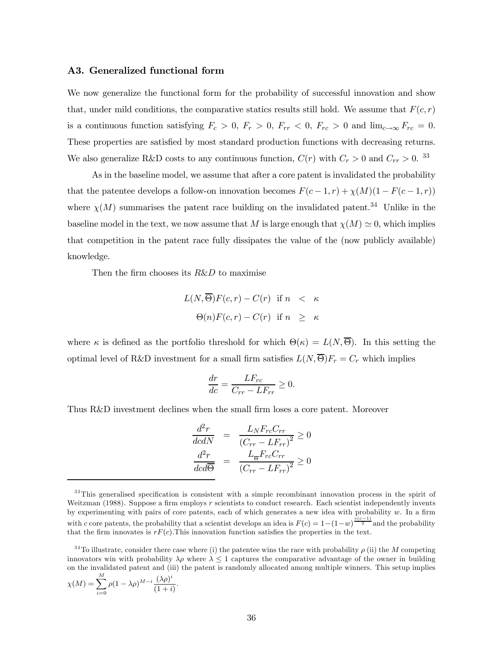#### A3. Generalized functional form

We now generalize the functional form for the probability of successful innovation and show that, under mild conditions, the comparative statics results still hold. We assume that  $F(c, r)$ is a continuous function satisfying  $F_c > 0$ ,  $F_r > 0$ ,  $F_{rr} < 0$ ,  $F_{rc} > 0$  and  $\lim_{c\to\infty} F_{rc} = 0$ . These properties are satisfied by most standard production functions with decreasing returns. We also generalize R&D costs to any continuous function,  $C(r)$  with  $C_r > 0$  and  $C_{rr} > 0$ . <sup>33</sup>

As in the baseline model, we assume that after a core patent is invalidated the probability that the patentee develops a follow-on innovation becomes  $F(c-1,r) + \chi(M)(1 - F(c-1,r))$ where  $\chi(M)$  summarises the patent race building on the invalidated patent.<sup>34</sup> Unlike in the baseline model in the text, we now assume that M is large enough that  $\chi(M) \simeq 0$ , which implies that competition in the patent race fully dissipates the value of the (now publicly available) knowledge.

Then the firm chooses its R&D to maximise

$$
L(N, \overline{\Theta})F(c,r) - C(r) \text{ if } n < \kappa
$$
  

$$
\Theta(n)F(c,r) - C(r) \text{ if } n \geq \kappa
$$

where  $\kappa$  is defined as the portfolio threshold for which  $\Theta(\kappa) = L(N, \overline{\Theta})$ . In this setting the optimal level of R&D investment for a small firm satisfies  $L(N, \overline{\Theta})F_r = C_r$  which implies

$$
\frac{dr}{dc} = \frac{LF_{rc}}{C_{rr} - LF_{rr}} \ge 0.
$$

Thus R&D investment declines when the small firm loses a core patent. Moreover

$$
\frac{d^2r}{dcdN} = \frac{L_N F_{rc} C_{rr}}{(C_{rr} - L F_{rr})^2} \ge 0
$$

$$
\frac{d^2r}{dcd\overline{\Theta}} = \frac{L_{\overline{\Theta}} F_{rc} C_{rr}}{(C_{rr} - L F_{rr})^2} \ge 0
$$

$$
\chi(M) = \sum_{i=0}^{M} \rho (1 - \lambda \rho)^{M-i} \frac{(\lambda \rho)^i}{(1+i)}.
$$

<sup>&</sup>lt;sup>33</sup>This generalised specification is consistent with a simple recombinant innovation process in the spirit of Weitzman (1988). Suppose a firm employs r scientists to conduct research. Each scientist independently invents by experimenting with pairs of core patents, each of which generates a new idea with probability  $w$ . In a firm with c core patents, the probability that a scientist develops an idea is  $F(c) = 1-(1-w)^{\frac{c(c-1)}{2}}$  and the probability that the firm innovates is  $rF(c)$ . This innovation function satisfies the properties in the text.

<sup>&</sup>lt;sup>34</sup>To illustrate, consider there case where (i) the patentee wins the race with probability  $\rho$  (ii) the M competing innovators win with probability  $\lambda \rho$  where  $\lambda \leq 1$  captures the comparative advantage of the owner in building on the invalidated patent and (iii) the patent is randomly allocated among multiple winners. This setup implies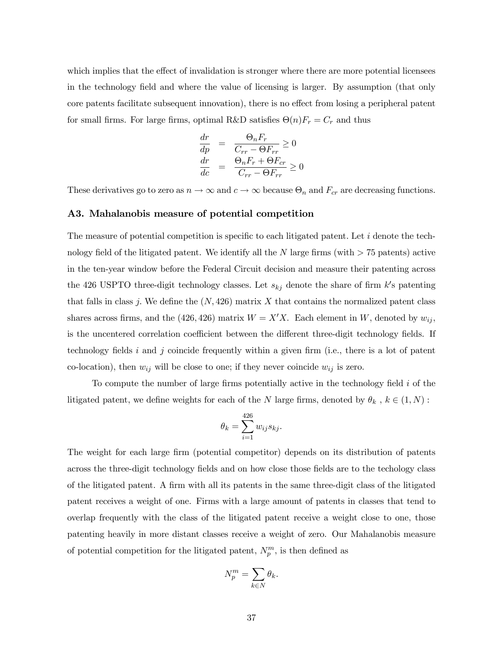which implies that the effect of invalidation is stronger where there are more potential licensees in the technology field and where the value of licensing is larger. By assumption (that only core patents facilitate subsequent innovation), there is no effect from losing a peripheral patent for small firms. For large firms, optimal R&D satisfies  $\Theta(n)F_r = C_r$  and thus

$$
\frac{dr}{dp} = \frac{\Theta_n F_r}{C_{rr} - \Theta F_{rr}} \ge 0
$$
  

$$
\frac{dr}{dc} = \frac{\Theta_n F_r + \Theta F_{cr}}{C_{rr} - \Theta F_{rr}} \ge 0
$$

These derivatives go to zero as  $n \to \infty$  and  $c \to \infty$  because  $\Theta_n$  and  $F_{cr}$  are decreasing functions.

## A3. Mahalanobis measure of potential competition

The measure of potential competition is specific to each litigated patent. Let  $i$  denote the technology field of the litigated patent. We identify all the  $N$  large firms (with  $> 75$  patents) active in the ten-year window before the Federal Circuit decision and measure their patenting across the 426 USPTO three-digit technology classes. Let  $s_{kj}$  denote the share of firm k's patenting that falls in class j. We define the  $(N, 426)$  matrix X that contains the normalized patent class shares across firms, and the (426, 426) matrix  $W = X'X$ . Each element in W, denoted by  $w_{ij}$ , is the uncentered correlation coefficient between the different three-digit technology fields. If technology fields i and j coincide frequently within a given firm (i.e., there is a lot of patent co-location), then  $w_{ij}$  will be close to one; if they never coincide  $w_{ij}$  is zero.

To compute the number of large firms potentially active in the technology field  $i$  of the litigated patent, we define weights for each of the N large firms, denoted by  $\theta_k$ ,  $k \in (1, N)$ :

$$
\theta_k = \sum_{i=1}^{426} w_{ij} s_{kj}.
$$

The weight for each large firm (potential competitor) depends on its distribution of patents across the three-digit technology fields and on how close those fields are to the techology class of the litigated patent. A firm with all its patents in the same three-digit class of the litigated patent receives a weight of one. Firms with a large amount of patents in classes that tend to overlap frequently with the class of the litigated patent receive a weight close to one, those patenting heavily in more distant classes receive a weight of zero. Our Mahalanobis measure of potential competition for the litigated patent,  $N_p^m$ , is then defined as

$$
N_p^m = \sum_{k \in N} \theta_k.
$$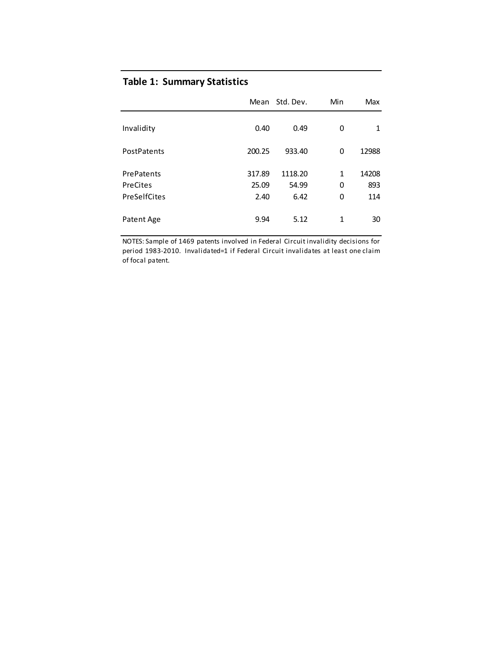|              |        | Mean Std. Dev. | Min          | Max   |
|--------------|--------|----------------|--------------|-------|
| Invalidity   | 0.40   | 0.49           | 0            | 1     |
|              |        |                |              |       |
| PostPatents  | 200.25 | 933.40         | 0            | 12988 |
| PrePatents   | 317.89 | 1118.20        | $\mathbf{1}$ | 14208 |
| PreCites     | 25.09  | 54.99          | 0            | 893   |
| PreSelfCites | 2.40   | 6.42           | 0            | 114   |
| Patent Age   | 9.94   | 5.12           | $\mathbf{1}$ | 30    |

## Table 1: Summary Statistics

NOTES: Sample of 1469 patents involved in Federal Circuit invalidity decisions for period 1983-2010. Invalidated=1 if Federal Circuit invalidates at least one claim of focal patent.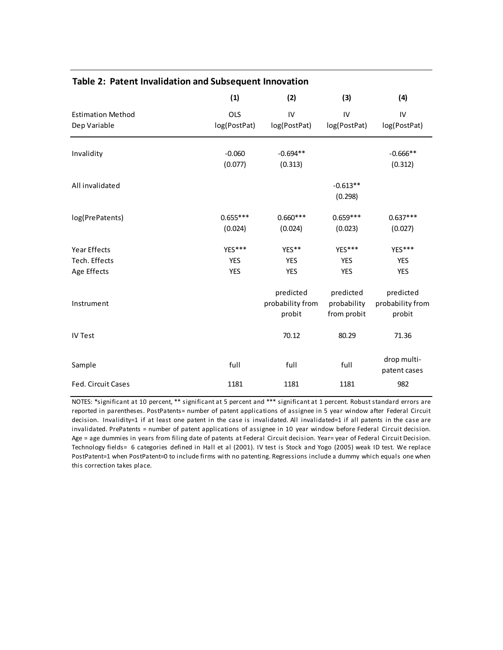|                                          | (1)                   | (2)                                     | (3)                                     | (4)                                     |
|------------------------------------------|-----------------------|-----------------------------------------|-----------------------------------------|-----------------------------------------|
| <b>Estimation Method</b><br>Dep Variable | OLS<br>log(PostPat)   | IV<br>log(PostPat)                      | IV<br>log(PostPat)                      | IV<br>log(PostPat)                      |
|                                          |                       |                                         |                                         |                                         |
| Invalidity                               | $-0.060$              | $-0.694**$                              |                                         | $-0.666**$                              |
|                                          | (0.077)               | (0.313)                                 |                                         | (0.312)                                 |
| All invalidated                          |                       |                                         | $-0.613**$<br>(0.298)                   |                                         |
| log(PrePatents)                          | $0.655***$<br>(0.024) | $0.660***$<br>(0.024)                   | $0.659***$<br>(0.023)                   | $0.637***$<br>(0.027)                   |
| Year Effects                             | YES***                | YES**                                   | YES***                                  | YES***                                  |
| Tech. Effects                            | <b>YES</b>            | <b>YES</b>                              | <b>YES</b>                              | <b>YES</b>                              |
| Age Effects                              | <b>YES</b>            | <b>YES</b>                              | <b>YES</b>                              | <b>YES</b>                              |
| Instrument                               |                       | predicted<br>probability from<br>probit | predicted<br>probability<br>from probit | predicted<br>probability from<br>probit |
| <b>IV Test</b>                           |                       | 70.12                                   | 80.29                                   | 71.36                                   |
| Sample                                   | full                  | full                                    | full                                    | drop multi-<br>patent cases             |
| Fed. Circuit Cases                       | 1181                  | 1181                                    | 1181                                    | 982                                     |

## Table 2: Patent Invalidation and Subsequent Innovation

NOTES: \*significant at 10 percent, \*\* significant at 5 percent and \*\*\* significant at 1 percent. Robust standard errors are reported in parentheses. PostPatents= number of patent applications of assignee in 5 year window after Federal Circuit decision. Invalidity=1 if at least one patent in the case is invalidated. All invalidated=1 if all patents in the case are invalidated. PrePatents = number of patent applications of assignee in 10 year window before Federal Circuit decision. Age = age dummies in years from filing date of patents at Federal Circuit decision. Year= year of Federal Circuit Decision. Technology fields= 6 categories defined in Hall et al (2001). IV test is Stock and Yogo (2005) weak ID test. We replace PostPatent=1 when PostPatent=0 to include firms with no patenting. Regressions include a dummy which equals one when this correction takes place.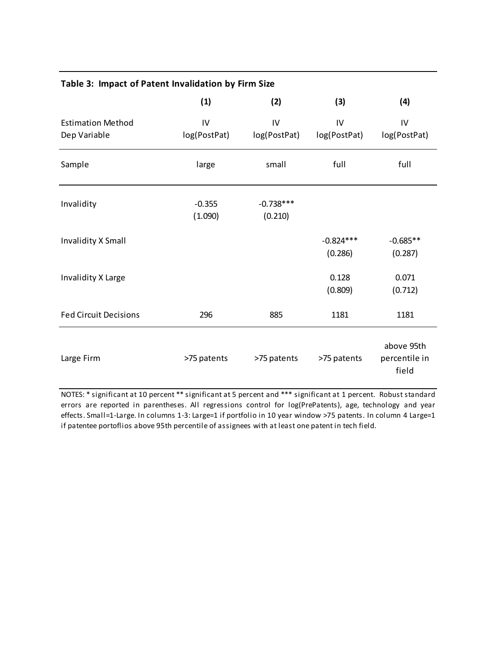| Table 3: Impact of Patent Invalidation by Firm Size |                     |                        |                        |                                      |  |  |
|-----------------------------------------------------|---------------------|------------------------|------------------------|--------------------------------------|--|--|
|                                                     | (1)                 | (2)                    | (3)                    | (4)                                  |  |  |
| <b>Estimation Method</b><br>Dep Variable            | IV<br>log(PostPat)  | IV<br>log(PostPat)     | IV<br>log(PostPat)     | IV<br>log(PostPat)                   |  |  |
| Sample                                              | large               | small                  | full                   | full                                 |  |  |
| Invalidity                                          | $-0.355$<br>(1.090) | $-0.738***$<br>(0.210) |                        |                                      |  |  |
| Invalidity X Small                                  |                     |                        | $-0.824***$<br>(0.286) | $-0.685**$<br>(0.287)                |  |  |
| Invalidity X Large                                  |                     |                        | 0.128<br>(0.809)       | 0.071<br>(0.712)                     |  |  |
| <b>Fed Circuit Decisions</b>                        | 296                 | 885                    | 1181                   | 1181                                 |  |  |
| Large Firm                                          | >75 patents         | >75 patents            | >75 patents            | above 95th<br>percentile in<br>field |  |  |

NOTES: \* significant at 10 percent \*\* significant at 5 percent and \*\*\* significant at 1 percent. Robust standard errors are reported in parentheses. All regressions control for log(PrePatents), age, technology and year effects. Small=1-Large. In columns 1-3: Large=1 if portfolio in 10 year window >75 patents. In column 4 Large=1 if patentee portoflios above 95th percentile of assignees with at least one patent in tech field.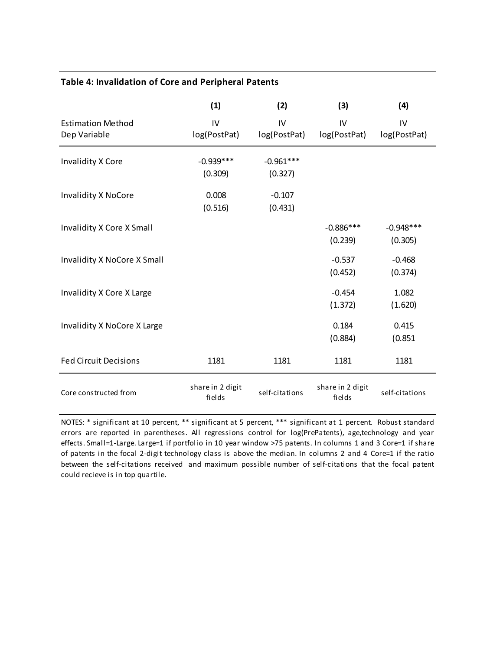## Table 4: Invalidation of Core and Peripheral Patents

|                                          | (1)                        | (2)                    | (3)                        | (4)                    |
|------------------------------------------|----------------------------|------------------------|----------------------------|------------------------|
| <b>Estimation Method</b><br>Dep Variable | IV<br>log(PostPat)         | IV<br>log(PostPat)     | IV<br>log(PostPat)         | IV<br>log(PostPat)     |
| <b>Invalidity X Core</b>                 | $-0.939***$<br>(0.309)     | $-0.961***$<br>(0.327) |                            |                        |
| Invalidity X NoCore                      | 0.008<br>(0.516)           | $-0.107$<br>(0.431)    |                            |                        |
| Invalidity X Core X Small                |                            |                        | $-0.886***$<br>(0.239)     | $-0.948***$<br>(0.305) |
| Invalidity X NoCore X Small              |                            |                        | $-0.537$<br>(0.452)        | $-0.468$<br>(0.374)    |
| Invalidity X Core X Large                |                            |                        | $-0.454$<br>(1.372)        | 1.082<br>(1.620)       |
| Invalidity X NoCore X Large              |                            |                        | 0.184<br>(0.884)           | 0.415<br>(0.851)       |
| <b>Fed Circuit Decisions</b>             | 1181                       | 1181                   | 1181                       | 1181                   |
| Core constructed from                    | share in 2 digit<br>fields | self-citations         | share in 2 digit<br>fields | self-citations         |

NOTES: \* significant at 10 percent, \*\* significant at 5 percent, \*\*\* significant at 1 percent. Robust standard errors are reported in parentheses. All regressions control for log(PrePatents), age,technology and year effects. Small=1-Large. Large=1 if portfolio in 10 year window >75 patents. In columns 1 and 3 Core=1 if share of patents in the focal 2-digit technology class is above the median. In columns 2 and 4 Core=1 if the ratio between the self-citations received and maximum possible number of self-citations that the focal patent could recieve is in top quartile.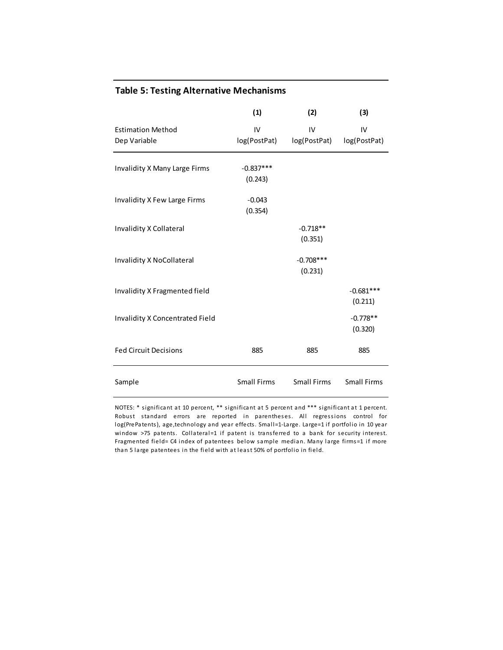|                                          | (1)                    | (2)                    | (3)                    |
|------------------------------------------|------------------------|------------------------|------------------------|
| <b>Estimation Method</b><br>Dep Variable | IV<br>log(PostPat)     | IV<br>log(PostPat)     | IV<br>log(PostPat)     |
| Invalidity X Many Large Firms            | $-0.837***$<br>(0.243) |                        |                        |
| Invalidity X Few Large Firms             | $-0.043$<br>(0.354)    |                        |                        |
| Invalidity X Collateral                  |                        | $-0.718**$<br>(0.351)  |                        |
| Invalidity X NoCollateral                |                        | $-0.708***$<br>(0.231) |                        |
| Invalidity X Fragmented field            |                        |                        | $-0.681***$<br>(0.211) |
| Invalidity X Concentrated Field          |                        |                        | $-0.778**$<br>(0.320)  |
| <b>Fed Circuit Decisions</b>             | 885                    | 885                    | 885                    |
| Sample                                   | <b>Small Firms</b>     | <b>Small Firms</b>     | <b>Small Firms</b>     |

## Table 5: Testing Alternative Mechanisms

NOTES: \* significant at 10 percent, \*\* significant at 5 percent and \*\*\* significant at 1 percent. Robust standard errors are reported in parentheses. All regressions control for log(PrePatents), age,technology and year effects. Small=1-Large. Large=1 if portfolio in 10 year window >75 patents. Collateral=1 if patent is transferred to a bank for security interest. Fragmented field= C4 index of patentees below sample median. Many large firms=1 if more than 5 large patentees in the field with at least 50% of portfolio in field.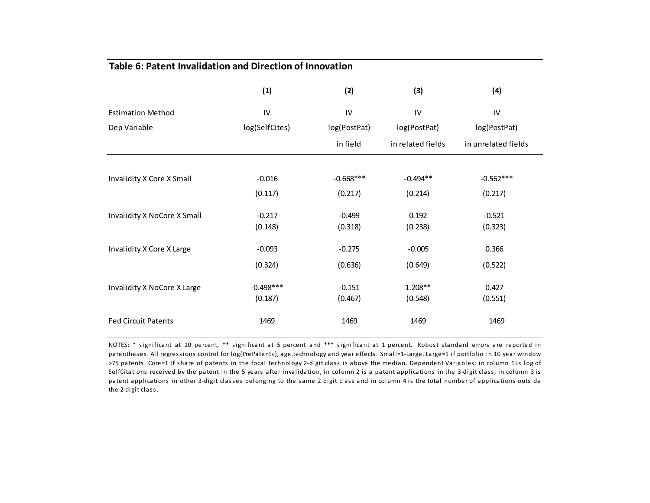## Table 6: Patent Invalidation and Direction of Innovation

|                             | (1)            | (2)          | (3)               | (4)                 |
|-----------------------------|----------------|--------------|-------------------|---------------------|
| <b>Estimation Method</b>    | $\mathsf{IV}$  | IV           | IV                | IV                  |
| Dep Variable                | log(SelfCites) | log(PostPat) | log(PostPat)      | log(PostPat)        |
|                             |                | in field     | in related fields | in unrelated fields |
|                             |                |              |                   |                     |
| Invalidity X Core X Small   | $-0.016$       | $-0.668***$  | $-0.494**$        | $-0.562***$         |
|                             | (0.117)        | (0.217)      | (0.214)           | (0.217)             |
| Invalidity X NoCore X Small | $-0.217$       | $-0.499$     | 0.192             | $-0.521$            |
|                             | (0.148)        | (0.318)      | (0.238)           | (0.323)             |
| Invalidity X Core X Large   | $-0.093$       | $-0.275$     | $-0.005$          | 0.366               |
|                             | (0.324)        | (0.636)      | (0.649)           | (0.522)             |
| Invalidity X NoCore X Large | $-0.498***$    | $-0.151$     | $1.208**$         | 0.427               |
|                             | (0.187)        | (0.467)      | (0.548)           | (0.551)             |
| <b>Fed Circuit Patents</b>  | 1469           | 1469         | 1469              | 1469                |

NOTES: \* significant at <sup>10</sup> percent, \*\* significant at <sup>5</sup> percent and \*\*\* significant at <sup>1</sup> percent. Robust standard errors are reported in parentheses. All regressions control for log(PrePatents), age,technology and year effects. Small=1-Large. Large=1 if portfolio in <sup>10</sup> year window >75 patents. Core=1 if share of patents in the focal technology 2-digit class is above the median. Dependent Variables: in column <sup>1</sup> is log of SelfCitations received by the patent in the <sup>5</sup> years after invalidation, in column <sup>2</sup> is <sup>a</sup> patent applications in the 3-digit class, in column <sup>3</sup> is patent applications in other 3-digit classes belonging to the same <sup>2</sup> digit class and in column <sup>4</sup> is the total number of applications outside the 2 digit class.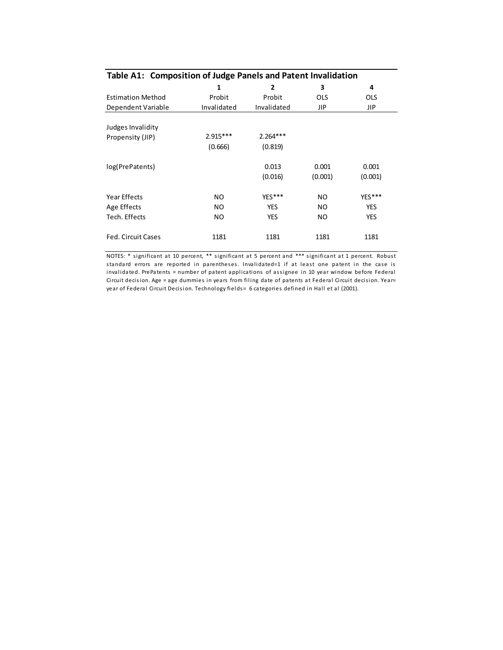| Table A1: Composition of Judge Panels and Patent Invalidation |             |                  |                  |                  |  |  |
|---------------------------------------------------------------|-------------|------------------|------------------|------------------|--|--|
|                                                               | 1           | 2                | 3                | 4                |  |  |
| <b>Estimation Method</b>                                      | Probit      | Probit           | <b>OLS</b>       | <b>OLS</b>       |  |  |
| Dependent Variable                                            | Invalidated | Invalidated      | <b>JIP</b>       | JIP              |  |  |
| Judges Invalidity                                             |             |                  |                  |                  |  |  |
| Propensity (JIP)                                              | $2.915***$  | $2.264***$       |                  |                  |  |  |
|                                                               | (0.666)     | (0.819)          |                  |                  |  |  |
| log(PrePatents)                                               |             | 0.013<br>(0.016) | 0.001<br>(0.001) | 0.001<br>(0.001) |  |  |
| Year Effects                                                  | NO.         | YES***           | <b>NO</b>        | YES***           |  |  |
| Age Effects                                                   | NO.         | <b>YES</b>       | NO.              | <b>YES</b>       |  |  |
| Tech. Effects                                                 | NO.         | <b>YES</b>       | NO.              | <b>YES</b>       |  |  |
| <b>Fed. Circuit Cases</b>                                     | 1181        | 1181             | 1181             | 1181             |  |  |

NOTES: \* significant at 10 percent, \*\* significant at 5 percent and \*\*\* significant at 1 percent. Robust standard errors are reported in parentheses. Invalidated=1 if at least one patent in the case is invalidated. PrePatents = number of patent applications of assignee in 10 year window before Federal Circuit decision. Age = age dummies in years from filing date of patents at Federal Circuit decision. Year= year of Federal Circuit Decision. Technology fields= 6 categories defined in Hall et al (2001).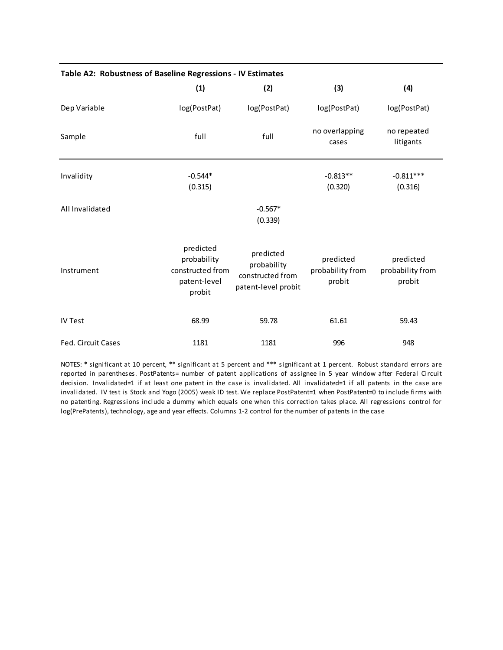| Table A2: Robustness of Baseline Regressions - IV Estimates |                                                                        |                                                                     |                                         |                                         |  |  |
|-------------------------------------------------------------|------------------------------------------------------------------------|---------------------------------------------------------------------|-----------------------------------------|-----------------------------------------|--|--|
|                                                             | (1)                                                                    | (2)                                                                 | (3)                                     | (4)                                     |  |  |
| Dep Variable                                                | log(PostPat)                                                           | log(PostPat)                                                        | log(PostPat)                            | log(PostPat)                            |  |  |
| Sample                                                      | full                                                                   | full                                                                | no overlapping<br>cases                 | no repeated<br>litigants                |  |  |
| Invalidity                                                  | $-0.544*$<br>(0.315)                                                   |                                                                     | $-0.813**$<br>(0.320)                   | $-0.811***$<br>(0.316)                  |  |  |
| All Invalidated                                             |                                                                        | $-0.567*$<br>(0.339)                                                |                                         |                                         |  |  |
| Instrument                                                  | predicted<br>probability<br>constructed from<br>patent-level<br>probit | predicted<br>probability<br>constructed from<br>patent-level probit | predicted<br>probability from<br>probit | predicted<br>probability from<br>probit |  |  |
| <b>IV Test</b>                                              | 68.99                                                                  | 59.78                                                               | 61.61                                   | 59.43                                   |  |  |
| Fed. Circuit Cases                                          | 1181                                                                   | 1181                                                                | 996                                     | 948                                     |  |  |

NOTES: \* significant at 10 percent, \*\* significant at 5 percent and \*\*\* significant at 1 percent. Robust standard errors are reported in parentheses. PostPatents= number of patent applications of assignee in 5 year window after Federal Circuit decision. Invalidated=1 if at least one patent in the case is invalidated. All invalidated=1 if all patents in the case are invalidated. IV test is Stock and Yogo (2005) weak ID test. We replace PostPatent=1 when PostPatent=0 to include firms with no patenting. Regressions include a dummy which equals one when this correction takes place. All regressions control for log(PrePatents), technology, age and year effects. Columns 1-2 control for the number of patents in the case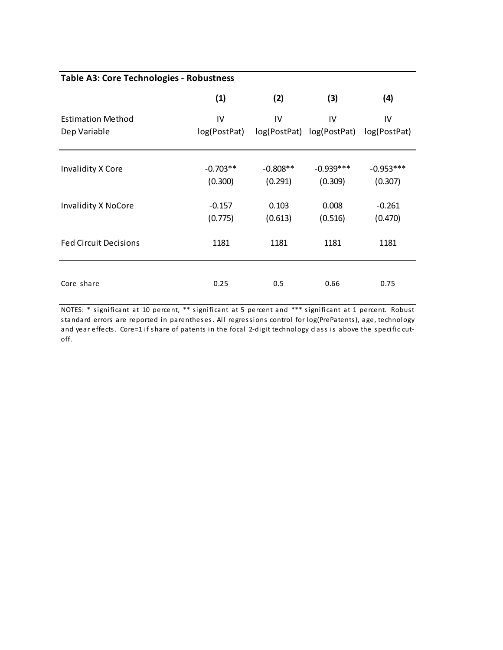| <b>Table A3: Core Technologies - Robustness</b> |                       |                       |                                              |                        |  |  |
|-------------------------------------------------|-----------------------|-----------------------|----------------------------------------------|------------------------|--|--|
|                                                 | (1)                   | (2)                   | (3)                                          | (4)                    |  |  |
| <b>Estimation Method</b><br>Dep Variable        | IV<br>log(PostPat)    | IV                    | IV<br>log(PostPat) log(PostPat) log(PostPat) | IV                     |  |  |
| <b>Invalidity X Core</b>                        | $-0.703**$<br>(0.300) | $-0.808**$<br>(0.291) | $-0.939***$<br>(0.309)                       | $-0.953***$<br>(0.307) |  |  |
| <b>Invalidity X NoCore</b>                      | $-0.157$<br>(0.775)   | 0.103<br>(0.613)      | 0.008<br>(0.516)                             | $-0.261$<br>(0.470)    |  |  |
| <b>Fed Circuit Decisions</b>                    | 1181                  | 1181                  | 1181                                         | 1181                   |  |  |
| Core share                                      | 0.25                  | 0.5                   | 0.66                                         | 0.75                   |  |  |

NOTES: \* significant at 10 percent, \*\* significant at 5 percent and \*\*\* s ignificant at 1 percent. Robust standard errors are reported in parentheses. All regressions control for log(PrePatents), age, technology and year effects. Core=1 if share of patents in the focal 2-digit technology class is above the specific cutoff.